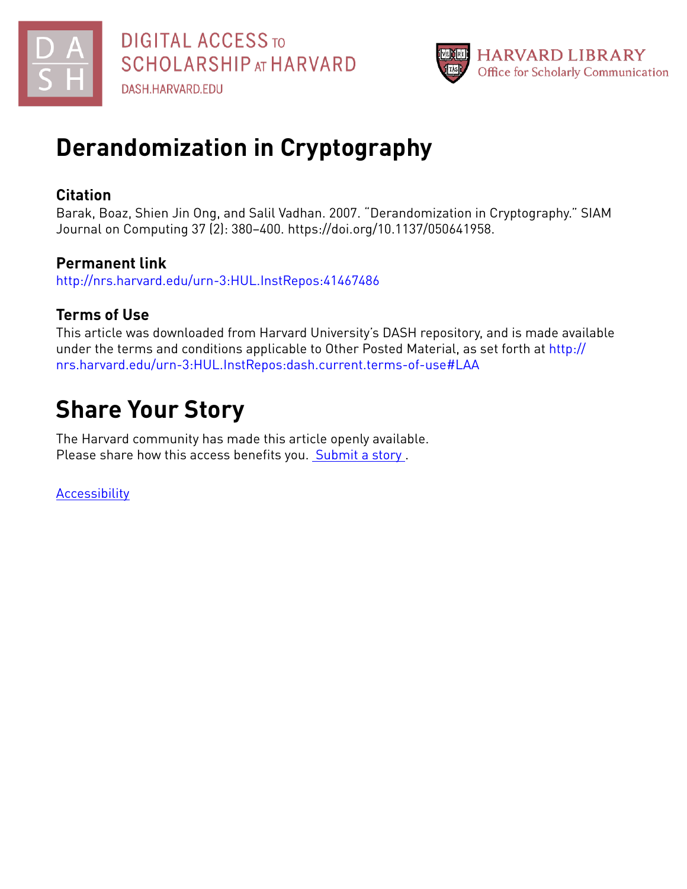



# **Derandomization in Cryptography**

# **Citation**

Barak, Boaz, Shien Jin Ong, and Salil Vadhan. 2007. "Derandomization in Cryptography." SIAM Journal on Computing 37 (2): 380–400. https://doi.org/10.1137/050641958.

# **Permanent link**

<http://nrs.harvard.edu/urn-3:HUL.InstRepos:41467486>

# **Terms of Use**

This article was downloaded from Harvard University's DASH repository, and is made available under the terms and conditions applicable to Other Posted Material, as set forth at [http://](http://nrs.harvard.edu/urn-3:HUL.InstRepos:dash.current.terms-of-use#LAA) [nrs.harvard.edu/urn-3:HUL.InstRepos:dash.current.terms-of-use#LAA](http://nrs.harvard.edu/urn-3:HUL.InstRepos:dash.current.terms-of-use#LAA)

# **Share Your Story**

The Harvard community has made this article openly available. Please share how this access benefits you. [Submit](http://osc.hul.harvard.edu/dash/open-access-feedback?handle=&title=Derandomization%20in%20Cryptography&community=1/1&collection=1/2&owningCollection1/2&harvardAuthors=9bbe94e2d09dfcc231898927a5c65d55&department) a story.

**[Accessibility](https://dash.harvard.edu/pages/accessibility)**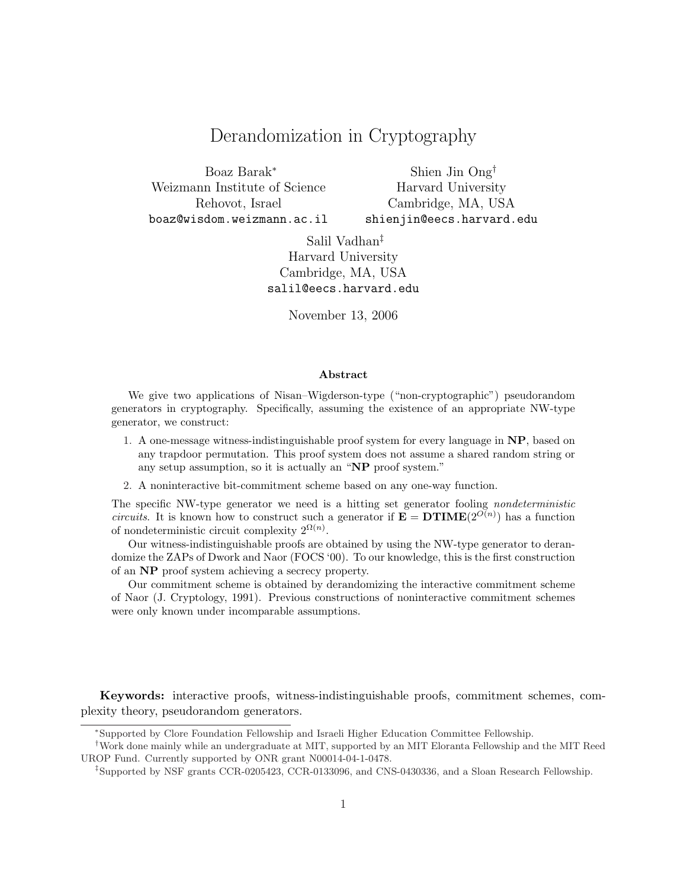# Derandomization in Cryptography

Boaz Barak<sup>∗</sup> Weizmann Institute of Science Rehovot, Israel boaz@wisdom.weizmann.ac.il

Shien Jin Ong† Harvard University Cambridge, MA, USA shienjin@eecs.harvard.edu

Salil Vadhan‡ Harvard University Cambridge, MA, USA salil@eecs.harvard.edu

November 13, 2006

#### Abstract

We give two applications of Nisan–Wigderson-type ("non-cryptographic") pseudorandom generators in cryptography. Specifically, assuming the existence of an appropriate NW-type generator, we construct:

- 1. A one-message witness-indistinguishable proof system for every language in  $NP$ , based on any trapdoor permutation. This proof system does not assume a shared random string or any setup assumption, so it is actually an "NP proof system."
- 2. A noninteractive bit-commitment scheme based on any one-way function.

The specific NW-type generator we need is a hitting set generator fooling nondeterministic *circuits*. It is known how to construct such a generator if  $\mathbf{E} = \mathbf{DTIME}(2^{O(n)})$  has a function of nondeterministic circuit complexity  $2^{\Omega(n)}$ .

Our witness-indistinguishable proofs are obtained by using the NW-type generator to derandomize the ZAPs of Dwork and Naor (FOCS '00). To our knowledge, this is the first construction of an NP proof system achieving a secrecy property.

Our commitment scheme is obtained by derandomizing the interactive commitment scheme of Naor (J. Cryptology, 1991). Previous constructions of noninteractive commitment schemes were only known under incomparable assumptions.

Keywords: interactive proofs, witness-indistinguishable proofs, commitment schemes, complexity theory, pseudorandom generators.

<sup>∗</sup>Supported by Clore Foundation Fellowship and Israeli Higher Education Committee Fellowship.

<sup>†</sup>Work done mainly while an undergraduate at MIT, supported by an MIT Eloranta Fellowship and the MIT Reed UROP Fund. Currently supported by ONR grant N00014-04-1-0478.

<sup>‡</sup>Supported by NSF grants CCR-0205423, CCR-0133096, and CNS-0430336, and a Sloan Research Fellowship.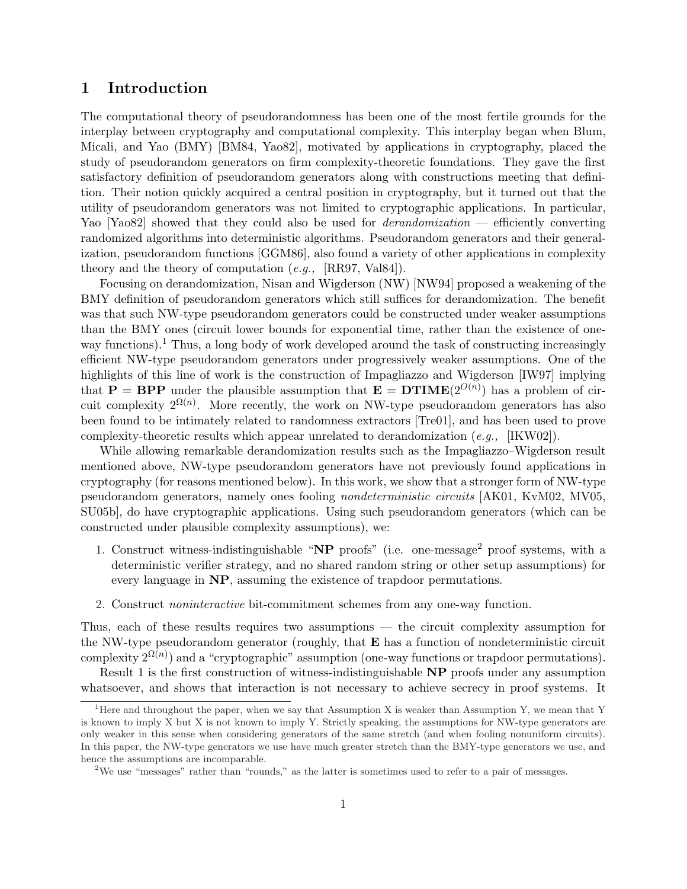## 1 Introduction

The computational theory of pseudorandomness has been one of the most fertile grounds for the interplay between cryptography and computational complexity. This interplay began when Blum, Micali, and Yao (BMY) [BM84, Yao82], motivated by applications in cryptography, placed the study of pseudorandom generators on firm complexity-theoretic foundations. They gave the first satisfactory definition of pseudorandom generators along with constructions meeting that definition. Their notion quickly acquired a central position in cryptography, but it turned out that the utility of pseudorandom generators was not limited to cryptographic applications. In particular, Yao [Yao82] showed that they could also be used for *derandomization* — efficiently converting randomized algorithms into deterministic algorithms. Pseudorandom generators and their generalization, pseudorandom functions [GGM86], also found a variety of other applications in complexity theory and the theory of computation  $(e.g., \text{ [RR97, Val84]}).$ 

Focusing on derandomization, Nisan and Wigderson (NW) [NW94] proposed a weakening of the BMY definition of pseudorandom generators which still suffices for derandomization. The benefit was that such NW-type pseudorandom generators could be constructed under weaker assumptions than the BMY ones (circuit lower bounds for exponential time, rather than the existence of oneway functions).<sup>1</sup> Thus, a long body of work developed around the task of constructing increasingly efficient NW-type pseudorandom generators under progressively weaker assumptions. One of the highlights of this line of work is the construction of Impagliazzo and Wigderson [IW97] implying that  $P = BPP$  under the plausible assumption that  $E = DTIME(2^{O(n)})$  has a problem of circuit complexity  $2^{\Omega(n)}$ . More recently, the work on NW-type pseudorandom generators has also been found to be intimately related to randomness extractors [Tre01], and has been used to prove complexity-theoretic results which appear unrelated to derandomization  $(e.g., \text{IKW02})$ .

While allowing remarkable derandomization results such as the Impagliazzo–Wigderson result mentioned above, NW-type pseudorandom generators have not previously found applications in cryptography (for reasons mentioned below). In this work, we show that a stronger form of NW-type pseudorandom generators, namely ones fooling nondeterministic circuits [AK01, KvM02, MV05, SU05b], do have cryptographic applications. Using such pseudorandom generators (which can be constructed under plausible complexity assumptions), we:

- 1. Construct witness-indistinguishable " $NP$  proofs" (i.e. one-message<sup>2</sup> proof systems, with a deterministic verifier strategy, and no shared random string or other setup assumptions) for every language in NP, assuming the existence of trapdoor permutations.
- 2. Construct noninteractive bit-commitment schemes from any one-way function.

Thus, each of these results requires two assumptions — the circuit complexity assumption for the NW-type pseudorandom generator (roughly, that E has a function of nondeterministic circuit complexity  $2^{\Omega(n)}$  and a "cryptographic" assumption (one-way functions or trapdoor permutations).

Result 1 is the first construction of witness-indistinguishable NP proofs under any assumption whatsoever, and shows that interaction is not necessary to achieve secrecy in proof systems. It

<sup>&</sup>lt;sup>1</sup>Here and throughout the paper, when we say that Assumption X is weaker than Assumption Y, we mean that Y is known to imply X but X is not known to imply Y. Strictly speaking, the assumptions for NW-type generators are only weaker in this sense when considering generators of the same stretch (and when fooling nonuniform circuits). In this paper, the NW-type generators we use have much greater stretch than the BMY-type generators we use, and hence the assumptions are incomparable.

<sup>&</sup>lt;sup>2</sup>We use "messages" rather than "rounds," as the latter is sometimes used to refer to a pair of messages.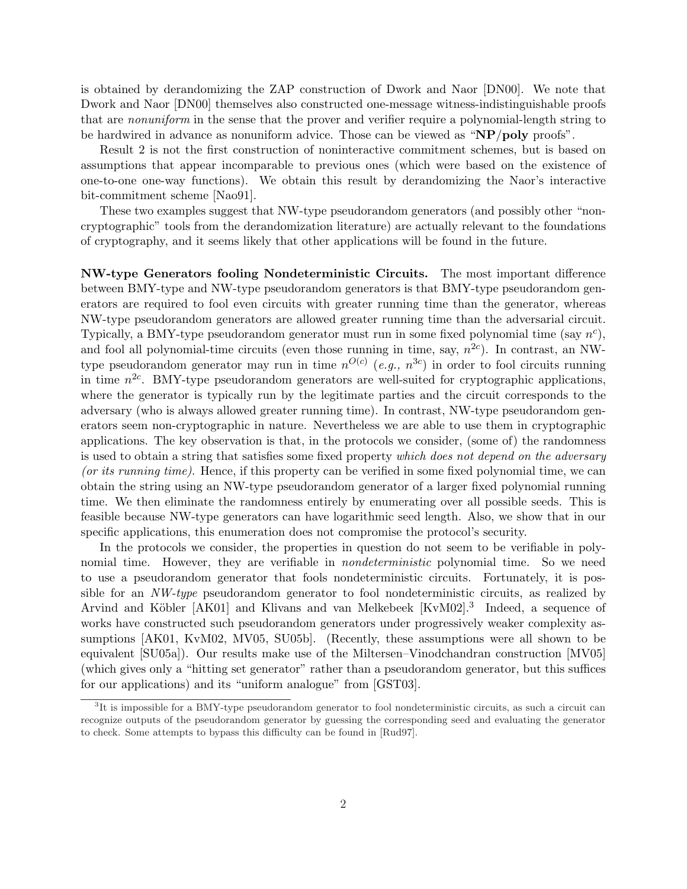is obtained by derandomizing the ZAP construction of Dwork and Naor [DN00]. We note that Dwork and Naor [DN00] themselves also constructed one-message witness-indistinguishable proofs that are nonuniform in the sense that the prover and verifier require a polynomial-length string to be hardwired in advance as nonuniform advice. Those can be viewed as "NP/poly proofs".

Result 2 is not the first construction of noninteractive commitment schemes, but is based on assumptions that appear incomparable to previous ones (which were based on the existence of one-to-one one-way functions). We obtain this result by derandomizing the Naor's interactive bit-commitment scheme [Nao91].

These two examples suggest that NW-type pseudorandom generators (and possibly other "noncryptographic" tools from the derandomization literature) are actually relevant to the foundations of cryptography, and it seems likely that other applications will be found in the future.

NW-type Generators fooling Nondeterministic Circuits. The most important difference between BMY-type and NW-type pseudorandom generators is that BMY-type pseudorandom generators are required to fool even circuits with greater running time than the generator, whereas NW-type pseudorandom generators are allowed greater running time than the adversarial circuit. Typically, a BMY-type pseudorandom generator must run in some fixed polynomial time (say  $n^c$ ), and fool all polynomial-time circuits (even those running in time, say,  $n^{2c}$ ). In contrast, an NWtype pseudorandom generator may run in time  $n^{O(c)}$  (e.g.,  $n^{3c}$ ) in order to fool circuits running in time  $n^{2c}$ . BMY-type pseudorandom generators are well-suited for cryptographic applications, where the generator is typically run by the legitimate parties and the circuit corresponds to the adversary (who is always allowed greater running time). In contrast, NW-type pseudorandom generators seem non-cryptographic in nature. Nevertheless we are able to use them in cryptographic applications. The key observation is that, in the protocols we consider, (some of) the randomness is used to obtain a string that satisfies some fixed property which does not depend on the adversary (or its running time). Hence, if this property can be verified in some fixed polynomial time, we can obtain the string using an NW-type pseudorandom generator of a larger fixed polynomial running time. We then eliminate the randomness entirely by enumerating over all possible seeds. This is feasible because NW-type generators can have logarithmic seed length. Also, we show that in our specific applications, this enumeration does not compromise the protocol's security.

In the protocols we consider, the properties in question do not seem to be verifiable in polynomial time. However, they are verifiable in *nondeterministic* polynomial time. So we need to use a pseudorandom generator that fools nondeterministic circuits. Fortunately, it is possible for an NW-type pseudorandom generator to fool nondeterministic circuits, as realized by Arvind and Köbler [AK01] and Klivans and van Melkebeek [KvM02].<sup>3</sup> Indeed, a sequence of works have constructed such pseudorandom generators under progressively weaker complexity assumptions [AK01, KvM02, MV05, SU05b]. (Recently, these assumptions were all shown to be equivalent [SU05a]). Our results make use of the Miltersen–Vinodchandran construction [MV05] (which gives only a "hitting set generator" rather than a pseudorandom generator, but this suffices for our applications) and its "uniform analogue" from [GST03].

<sup>&</sup>lt;sup>3</sup>It is impossible for a BMY-type pseudorandom generator to fool nondeterministic circuits, as such a circuit can recognize outputs of the pseudorandom generator by guessing the corresponding seed and evaluating the generator to check. Some attempts to bypass this difficulty can be found in [Rud97].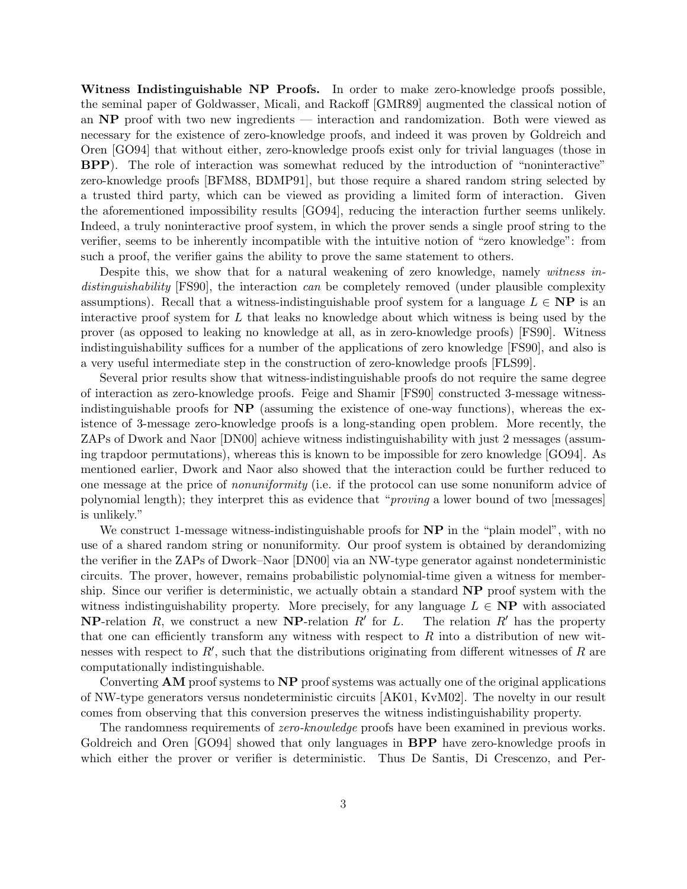Witness Indistinguishable NP Proofs. In order to make zero-knowledge proofs possible, the seminal paper of Goldwasser, Micali, and Rackoff [GMR89] augmented the classical notion of an NP proof with two new ingredients — interaction and randomization. Both were viewed as necessary for the existence of zero-knowledge proofs, and indeed it was proven by Goldreich and Oren [GO94] that without either, zero-knowledge proofs exist only for trivial languages (those in BPP). The role of interaction was somewhat reduced by the introduction of "noninteractive" zero-knowledge proofs [BFM88, BDMP91], but those require a shared random string selected by a trusted third party, which can be viewed as providing a limited form of interaction. Given the aforementioned impossibility results [GO94], reducing the interaction further seems unlikely. Indeed, a truly noninteractive proof system, in which the prover sends a single proof string to the verifier, seems to be inherently incompatible with the intuitive notion of "zero knowledge": from such a proof, the verifier gains the ability to prove the same statement to others.

Despite this, we show that for a natural weakening of zero knowledge, namely witness indistinguishability [FS90], the interaction can be completely removed (under plausible complexity assumptions). Recall that a witness-indistinguishable proof system for a language  $L \in NP$  is an interactive proof system for  $L$  that leaks no knowledge about which witness is being used by the prover (as opposed to leaking no knowledge at all, as in zero-knowledge proofs) [FS90]. Witness indistinguishability suffices for a number of the applications of zero knowledge [FS90], and also is a very useful intermediate step in the construction of zero-knowledge proofs [FLS99].

Several prior results show that witness-indistinguishable proofs do not require the same degree of interaction as zero-knowledge proofs. Feige and Shamir [FS90] constructed 3-message witnessindistinguishable proofs for  $NP$  (assuming the existence of one-way functions), whereas the existence of 3-message zero-knowledge proofs is a long-standing open problem. More recently, the ZAPs of Dwork and Naor [DN00] achieve witness indistinguishability with just 2 messages (assuming trapdoor permutations), whereas this is known to be impossible for zero knowledge [GO94]. As mentioned earlier, Dwork and Naor also showed that the interaction could be further reduced to one message at the price of nonuniformity (i.e. if the protocol can use some nonuniform advice of polynomial length); they interpret this as evidence that "proving a lower bound of two [messages] is unlikely."

We construct 1-message witness-indistinguishable proofs for  $NP$  in the "plain model", with no use of a shared random string or nonuniformity. Our proof system is obtained by derandomizing the verifier in the ZAPs of Dwork–Naor [DN00] via an NW-type generator against nondeterministic circuits. The prover, however, remains probabilistic polynomial-time given a witness for membership. Since our verifier is deterministic, we actually obtain a standard **NP** proof system with the witness indistinguishability property. More precisely, for any language  $L \in NP$  with associated **NP-relation** R, we construct a new **NP-relation** R' for L. The relation  $R'$  has the property that one can efficiently transform any witness with respect to  $R$  into a distribution of new witnesses with respect to  $R'$ , such that the distributions originating from different witnesses of  $R$  are computationally indistinguishable.

Converting **AM** proof systems to **NP** proof systems was actually one of the original applications of NW-type generators versus nondeterministic circuits [AK01, KvM02]. The novelty in our result comes from observing that this conversion preserves the witness indistinguishability property.

The randomness requirements of *zero-knowledge* proofs have been examined in previous works. Goldreich and Oren [GO94] showed that only languages in **BPP** have zero-knowledge proofs in which either the prover or verifier is deterministic. Thus De Santis, Di Crescenzo, and Per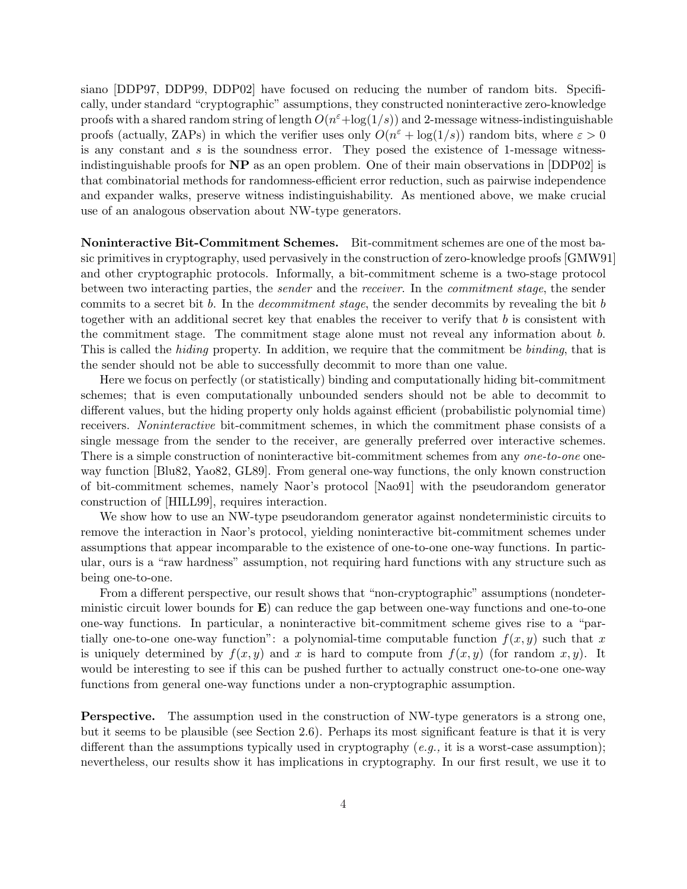siano [DDP97, DDP99, DDP02] have focused on reducing the number of random bits. Specifically, under standard "cryptographic" assumptions, they constructed noninteractive zero-knowledge proofs with a shared random string of length  $O(n^{\epsilon} + \log(1/s))$  and 2-message witness-indistinguishable proofs (actually, ZAPs) in which the verifier uses only  $O(n^{\epsilon} + \log(1/s))$  random bits, where  $\varepsilon > 0$ is any constant and s is the soundness error. They posed the existence of 1-message witnessindistinguishable proofs for NP as an open problem. One of their main observations in [DDP02] is that combinatorial methods for randomness-efficient error reduction, such as pairwise independence and expander walks, preserve witness indistinguishability. As mentioned above, we make crucial use of an analogous observation about NW-type generators.

Noninteractive Bit-Commitment Schemes. Bit-commitment schemes are one of the most basic primitives in cryptography, used pervasively in the construction of zero-knowledge proofs [GMW91] and other cryptographic protocols. Informally, a bit-commitment scheme is a two-stage protocol between two interacting parties, the sender and the receiver. In the commitment stage, the sender commits to a secret bit b. In the decommitment stage, the sender decommits by revealing the bit b together with an additional secret key that enables the receiver to verify that  $b$  is consistent with the commitment stage. The commitment stage alone must not reveal any information about b. This is called the *hiding* property. In addition, we require that the commitment be *binding*, that is the sender should not be able to successfully decommit to more than one value.

Here we focus on perfectly (or statistically) binding and computationally hiding bit-commitment schemes; that is even computationally unbounded senders should not be able to decommit to different values, but the hiding property only holds against efficient (probabilistic polynomial time) receivers. Noninteractive bit-commitment schemes, in which the commitment phase consists of a single message from the sender to the receiver, are generally preferred over interactive schemes. There is a simple construction of noninteractive bit-commitment schemes from any *one-to-one* oneway function [Blu82, Yao82, GL89]. From general one-way functions, the only known construction of bit-commitment schemes, namely Naor's protocol [Nao91] with the pseudorandom generator construction of [HILL99], requires interaction.

We show how to use an NW-type pseudorandom generator against nondeterministic circuits to remove the interaction in Naor's protocol, yielding noninteractive bit-commitment schemes under assumptions that appear incomparable to the existence of one-to-one one-way functions. In particular, ours is a "raw hardness" assumption, not requiring hard functions with any structure such as being one-to-one.

From a different perspective, our result shows that "non-cryptographic" assumptions (nondeterministic circuit lower bounds for  $E$ ) can reduce the gap between one-way functions and one-to-one one-way functions. In particular, a noninteractive bit-commitment scheme gives rise to a "partially one-to-one one-way function": a polynomial-time computable function  $f(x, y)$  such that x is uniquely determined by  $f(x, y)$  and x is hard to compute from  $f(x, y)$  (for random x, y). It would be interesting to see if this can be pushed further to actually construct one-to-one one-way functions from general one-way functions under a non-cryptographic assumption.

Perspective. The assumption used in the construction of NW-type generators is a strong one, but it seems to be plausible (see Section 2.6). Perhaps its most significant feature is that it is very different than the assumptions typically used in cryptography  $(e.g., it is a worst-case assumption);$ nevertheless, our results show it has implications in cryptography. In our first result, we use it to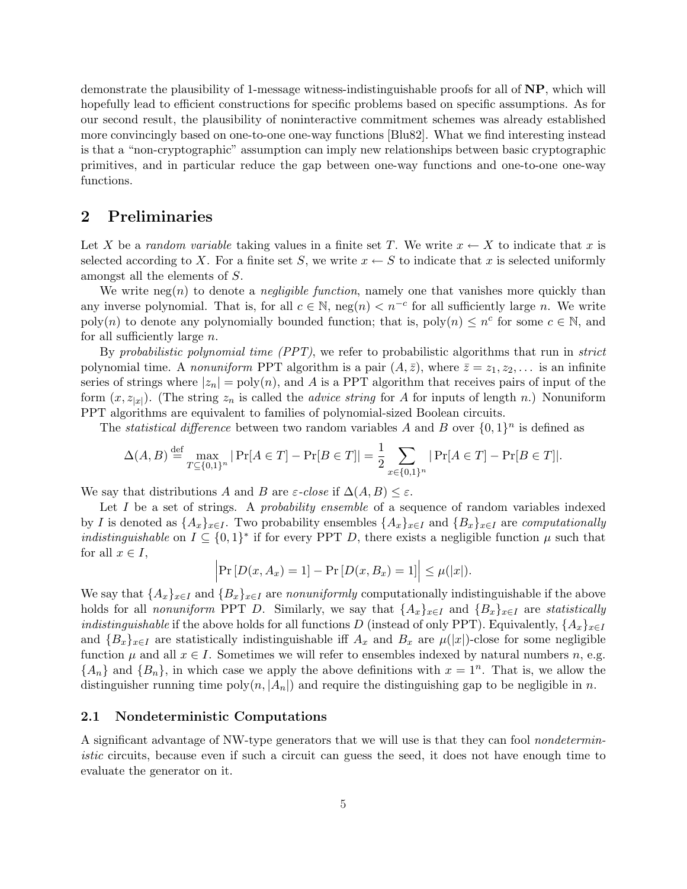demonstrate the plausibility of 1-message witness-indistinguishable proofs for all of NP, which will hopefully lead to efficient constructions for specific problems based on specific assumptions. As for our second result, the plausibility of noninteractive commitment schemes was already established more convincingly based on one-to-one one-way functions [Blu82]. What we find interesting instead is that a "non-cryptographic" assumption can imply new relationships between basic cryptographic primitives, and in particular reduce the gap between one-way functions and one-to-one one-way functions.

### 2 Preliminaries

Let X be a random variable taking values in a finite set T. We write  $x \leftarrow X$  to indicate that x is selected according to X. For a finite set S, we write  $x \leftarrow S$  to indicate that x is selected uniformly amongst all the elements of S.

We write  $neg(n)$  to denote a *negligible function*, namely one that vanishes more quickly than any inverse polynomial. That is, for all  $c \in \mathbb{N}$ , neg(n)  $\lt n^{-c}$  for all sufficiently large n. We write poly(n) to denote any polynomially bounded function; that is,  $poly(n) \leq n^c$  for some  $c \in \mathbb{N}$ , and for all sufficiently large n.

By probabilistic polynomial time (PPT), we refer to probabilistic algorithms that run in strict polynomial time. A nonuniform PPT algorithm is a pair  $(A, \overline{z})$ , where  $\overline{z} = z_1, z_2, \ldots$  is an infinite series of strings where  $|z_n| = \text{poly}(n)$ , and A is a PPT algorithm that receives pairs of input of the form  $(x, z_{|x|})$ . (The string  $z_n$  is called the *advice string* for A for inputs of length n.) Nonuniform PPT algorithms are equivalent to families of polynomial-sized Boolean circuits.

The *statistical difference* between two random variables A and B over  $\{0,1\}^n$  is defined as

$$
\Delta(A, B) \stackrel{\text{def}}{=} \max_{T \subseteq \{0, 1\}^n} | \Pr[A \in T] - \Pr[B \in T] | = \frac{1}{2} \sum_{x \in \{0, 1\}^n} | \Pr[A \in T] - \Pr[B \in T] |.
$$

We say that distributions A and B are  $\varepsilon$ -close if  $\Delta(A, B) \leq \varepsilon$ .

Let I be a set of strings. A *probability ensemble* of a sequence of random variables indexed by I is denoted as  $\{A_x\}_{x\in I}$ . Two probability ensembles  $\{A_x\}_{x\in I}$  and  $\{B_x\}_{x\in I}$  are computationally indistinguishable on  $I \subseteq \{0,1\}^*$  if for every PPT D, there exists a negligible function  $\mu$  such that for all  $x \in I$ ,  $\overline{a}$  $\overline{a}$ 

$$
Pr[D(x, A_x) = 1] - Pr[D(x, B_x) = 1] \le \mu(|x|).
$$

We say that  $\{A_x\}_{x\in I}$  and  $\{B_x\}_{x\in I}$  are nonuniformly computationally indistinguishable if the above holds for all nonuniform PPT D. Similarly, we say that  $\{A_x\}_{x\in I}$  and  $\{B_x\}_{x\in I}$  are statistically *indistinguishable* if the above holds for all functions D (instead of only PPT). Equivalently,  $\{A_x\}_{x\in I}$ and  ${B_x}_{x\in I}$  are statistically indistinguishable iff  $A_x$  and  $B_x$  are  $\mu(|x|)$ -close for some negligible function  $\mu$  and all  $x \in I$ . Sometimes we will refer to ensembles indexed by natural numbers n, e.g.  ${A_n}$  and  ${B_n}$ , in which case we apply the above definitions with  $x = 1<sup>n</sup>$ . That is, we allow the distinguisher running time  $poly(n, |A_n|)$  and require the distinguishing gap to be negligible in n.

#### 2.1 Nondeterministic Computations

A significant advantage of NW-type generators that we will use is that they can fool nondeterministic circuits, because even if such a circuit can guess the seed, it does not have enough time to evaluate the generator on it.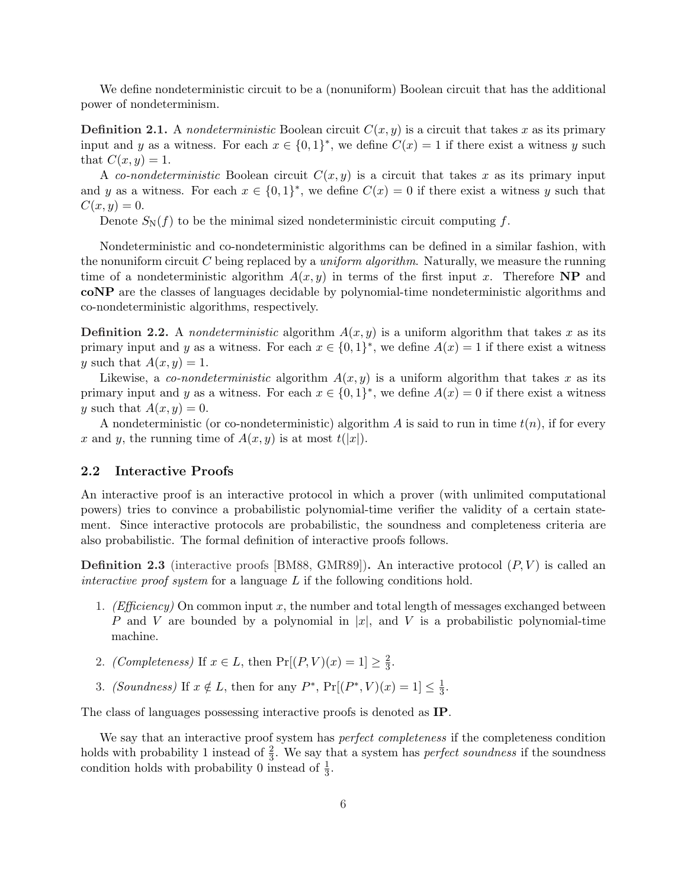We define nondeterministic circuit to be a (nonuniform) Boolean circuit that has the additional power of nondeterminism.

**Definition 2.1.** A nondeterministic Boolean circuit  $C(x, y)$  is a circuit that takes x as its primary input and y as a witness. For each  $x \in \{0,1\}^*$ , we define  $C(x) = 1$  if there exist a witness y such that  $C(x, y) = 1$ .

A co-nondeterministic Boolean circuit  $C(x, y)$  is a circuit that takes x as its primary input and y as a witness. For each  $x \in \{0,1\}^*$ , we define  $C(x) = 0$  if there exist a witness y such that  $C(x, y) = 0.$ 

Denote  $S_{\rm N}(f)$  to be the minimal sized nondeterministic circuit computing f.

Nondeterministic and co-nondeterministic algorithms can be defined in a similar fashion, with the nonuniform circuit C being replaced by a *uniform algorithm*. Naturally, we measure the running time of a nondeterministic algorithm  $A(x, y)$  in terms of the first input x. Therefore **NP** and coNP are the classes of languages decidable by polynomial-time nondeterministic algorithms and co-nondeterministic algorithms, respectively.

**Definition 2.2.** A nondeterministic algorithm  $A(x, y)$  is a uniform algorithm that takes x as its primary input and y as a witness. For each  $x \in \{0,1\}^*$ , we define  $A(x) = 1$  if there exist a witness y such that  $A(x, y) = 1$ .

Likewise, a co-nondeterministic algorithm  $A(x, y)$  is a uniform algorithm that takes x as its primary input and y as a witness. For each  $x \in \{0,1\}^*$ , we define  $A(x) = 0$  if there exist a witness y such that  $A(x, y) = 0$ .

A nondeterministic (or co-nondeterministic) algorithm  $A$  is said to run in time  $t(n)$ , if for every x and y, the running time of  $A(x, y)$  is at most  $t(|x|)$ .

#### 2.2 Interactive Proofs

An interactive proof is an interactive protocol in which a prover (with unlimited computational powers) tries to convince a probabilistic polynomial-time verifier the validity of a certain statement. Since interactive protocols are probabilistic, the soundness and completeness criteria are also probabilistic. The formal definition of interactive proofs follows.

**Definition 2.3** (interactive proofs [BM88, GMR89]). An interactive protocol  $(P, V)$  is called an interactive proof system for a language  $L$  if the following conditions hold.

- 1. (*Efficiency*) On common input x, the number and total length of messages exchanged between P and V are bounded by a polynomial in  $|x|$ , and V is a probabilistic polynomial-time machine.
- 2. (Completeness) If  $x \in L$ , then  $\Pr[(P, V)(x) = 1] \geq \frac{2}{3}$  $\frac{2}{3}$ .
- 3. (Soundness) If  $x \notin L$ , then for any  $P^*$ ,  $Pr[(P^*, V)(x) = 1] \leq \frac{1}{3}$  $\frac{1}{3}$ .

The class of languages possessing interactive proofs is denoted as IP.

We say that an interactive proof system has *perfect completeness* if the completeness condition holds with probability 1 instead of  $\frac{2}{3}$ . We say that a system has *perfect soundness* if the soundness condition holds with probability 0 instead of  $\frac{1}{3}$ .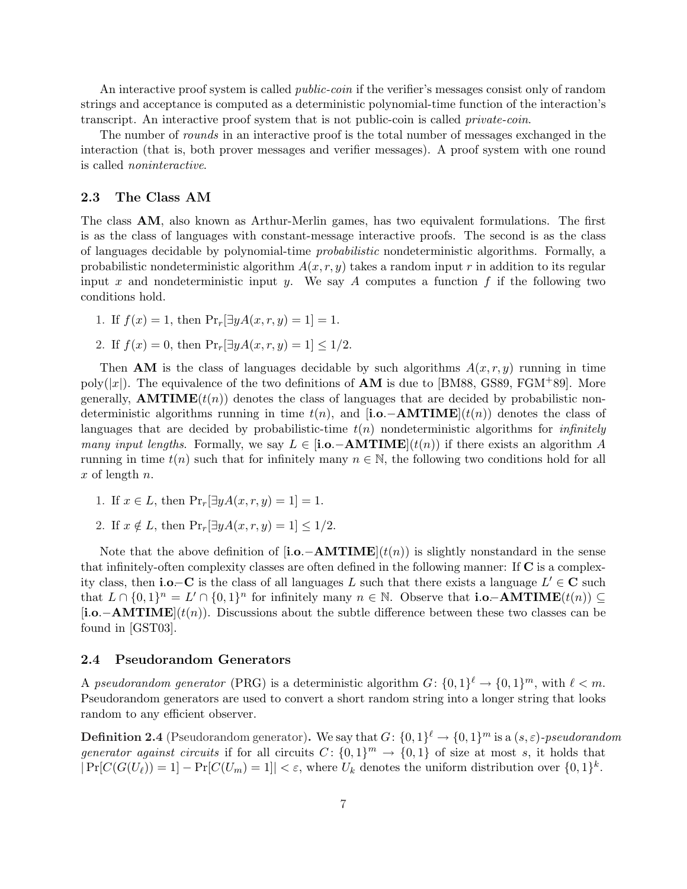An interactive proof system is called *public-coin* if the verifier's messages consist only of random strings and acceptance is computed as a deterministic polynomial-time function of the interaction's transcript. An interactive proof system that is not public-coin is called private-coin.

The number of rounds in an interactive proof is the total number of messages exchanged in the interaction (that is, both prover messages and verifier messages). A proof system with one round is called noninteractive.

#### 2.3 The Class AM

The class AM, also known as Arthur-Merlin games, has two equivalent formulations. The first is as the class of languages with constant-message interactive proofs. The second is as the class of languages decidable by polynomial-time probabilistic nondeterministic algorithms. Formally, a probabilistic nondeterministic algorithm  $A(x, r, y)$  takes a random input r in addition to its regular input x and nondeterministic input y. We say A computes a function f if the following two conditions hold.

- 1. If  $f(x) = 1$ , then  $Pr_r[\exists y A(x, r, y) = 1] = 1$ .
- 2. If  $f(x) = 0$ , then  $\Pr_r[\exists y A(x, r, y) = 1] \leq 1/2$ .

Then AM is the class of languages decidable by such algorithms  $A(x, r, y)$  running in time poly(|x|). The equivalence of the two definitions of  $AM$  is due to [BM88, GS89, FGM<sup>+</sup>89]. More generally, **AMTIME** $(t(n))$  denotes the class of languages that are decided by probabilistic nondeterministic algorithms running in time  $t(n)$ , and  $[i.o.-AMTIME](t(n))$  denotes the class of languages that are decided by probabilistic-time  $t(n)$  nondeterministic algorithms for *infinitely* many input lengths. Formally, we say  $L \in [\mathbf{i.o.-AMTIME}](t(n))$  if there exists an algorithm A running in time  $t(n)$  such that for infinitely many  $n \in \mathbb{N}$ , the following two conditions hold for all  $x$  of length  $n$ .

- 1. If  $x \in L$ , then  $\Pr_r[\exists y A(x, r, y) = 1] = 1$ .
- 2. If  $x \notin L$ , then  $\Pr_r[\exists y A(x, r, y) = 1] \leq 1/2$ .

Note that the above definition of  $[i.o.-AMTIME](t(n))$  is slightly nonstandard in the sense that infinitely-often complexity classes are often defined in the following manner: If C is a complexity class, then i.o.–C is the class of all languages L such that there exists a language  $L' \in \mathbb{C}$  such that  $L \cap \{0,1\}^n = L' \cap \{0,1\}^n$  for infinitely many  $n \in \mathbb{N}$ . Observe that **i.o.**-**AMTIME** $(t(n)) \subseteq$  $[i.o.-AMTIME](t(n))$ . Discussions about the subtle difference between these two classes can be found in [GST03].

#### 2.4 Pseudorandom Generators

A pseudorandom generator (PRG) is a deterministic algorithm  $G: \{0,1\}^{\ell} \to \{0,1\}^m$ , with  $\ell < m$ . Pseudorandom generators are used to convert a short random string into a longer string that looks random to any efficient observer.

**Definition 2.4** (Pseudorandom generator). We say that  $G: \{0,1\}^{\ell} \to \{0,1\}^m$  is a  $(s,\varepsilon)$ -pseudorandom generator against circuits if for all circuits  $C: \{0,1\}^m \to \{0,1\}$  of size at most s, it holds that  $|\Pr[C(G(U_\ell)) = 1] - \Pr[C(U_m) = 1]| < \varepsilon$ , where  $U_k$  denotes the uniform distribution over  $\{0,1\}^k$ .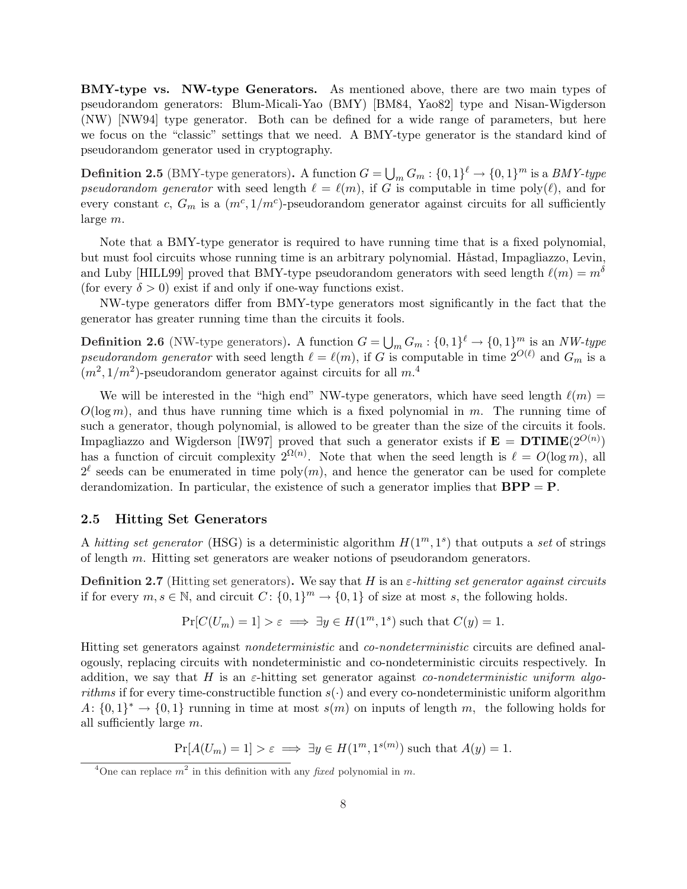BMY-type vs. NW-type Generators. As mentioned above, there are two main types of pseudorandom generators: Blum-Micali-Yao (BMY) [BM84, Yao82] type and Nisan-Wigderson (NW) [NW94] type generator. Both can be defined for a wide range of parameters, but here we focus on the "classic" settings that we need. A BMY-type generator is the standard kind of pseudorandom generator used in cryptography.

**Definition 2.5** (BMY-type generators). A function  $G =$ S  $_{m}G_{m}:\{0,1\}^{\ell}\rightarrow\{0,1\}^{m}$  is a *BMY-type* pseudorandom generator with seed length  $\ell = \ell(m)$ , if G is computable in time poly( $\ell$ ), and for every constant c,  $G_m$  is a  $(m^c, 1/m^c)$ -pseudorandom generator against circuits for all sufficiently large m.

Note that a BMY-type generator is required to have running time that is a fixed polynomial, but must fool circuits whose running time is an arbitrary polynomial. Håstad, Impagliazzo, Levin, and Luby [HILL99] proved that BMY-type pseudorandom generators with seed length  $\ell(m) = m<sup>o</sup>$ (for every  $\delta > 0$ ) exist if and only if one-way functions exist.

NW-type generators differ from BMY-type generators most significantly in the fact that the generator has greater running time than the circuits it fools.

**Definition 2.6** (NW-type generators). A function  $G =$ S  $_{m}G_{m}:\{0,1\}^{\ell}\rightarrow\{0,1\}^{m}$  is an *NW-type* pseudorandom generator with seed length  $\ell = \ell(m)$ , if G is computable in time  $2^{O(\ell)}$  and  $G_m$  is a  $(m^2, 1/m^2)$ -pseudorandom generator against circuits for all  $m^4$ .

We will be interested in the "high end" NW-type generators, which have seed length  $\ell(m) =$  $O(\log m)$ , and thus have running time which is a fixed polynomial in m. The running time of such a generator, though polynomial, is allowed to be greater than the size of the circuits it fools. Impagliazzo and Wigderson [IW97] proved that such a generator exists if  $\mathbf{E} = \mathbf{DTIME}(2^{O(n)})$ has a function of circuit complexity  $2^{\Omega(n)}$ . Note that when the seed length is  $\ell = O(\log m)$ , all  $2^{\ell}$  seeds can be enumerated in time poly $(m)$ , and hence the generator can be used for complete derandomization. In particular, the existence of such a generator implies that  $BPP = P$ .

#### 2.5 Hitting Set Generators

A hitting set generator (HSG) is a deterministic algorithm  $H(1^m, 1^s)$  that outputs a set of strings of length m. Hitting set generators are weaker notions of pseudorandom generators.

**Definition 2.7** (Hitting set generators). We say that H is an  $\varepsilon$ -hitting set generator against circuits if for every  $m, s \in \mathbb{N}$ , and circuit  $C: \{0,1\}^m \to \{0,1\}$  of size at most s, the following holds.

$$
Pr[C(U_m) = 1] > \varepsilon \implies \exists y \in H(1^m, 1^s) \text{ such that } C(y) = 1.
$$

Hitting set generators against nondeterministic and co-nondeterministic circuits are defined analogously, replacing circuits with nondeterministic and co-nondeterministic circuits respectively. In addition, we say that H is an  $\varepsilon$ -hitting set generator against *co-nondeterministic uniform algo*rithms if for every time-constructible function  $s(\cdot)$  and every co-nondeterministic uniform algorithm  $A: \{0,1\}^* \to \{0,1\}$  running in time at most  $s(m)$  on inputs of length m, the following holds for all sufficiently large m.

 $Pr[A(U_m) = 1] > \varepsilon \implies \exists y \in H(1^m, 1^{s(m)})$  such that  $A(y) = 1$ .

<sup>&</sup>lt;sup>4</sup>One can replace  $m^2$  in this definition with any *fixed* polynomial in m.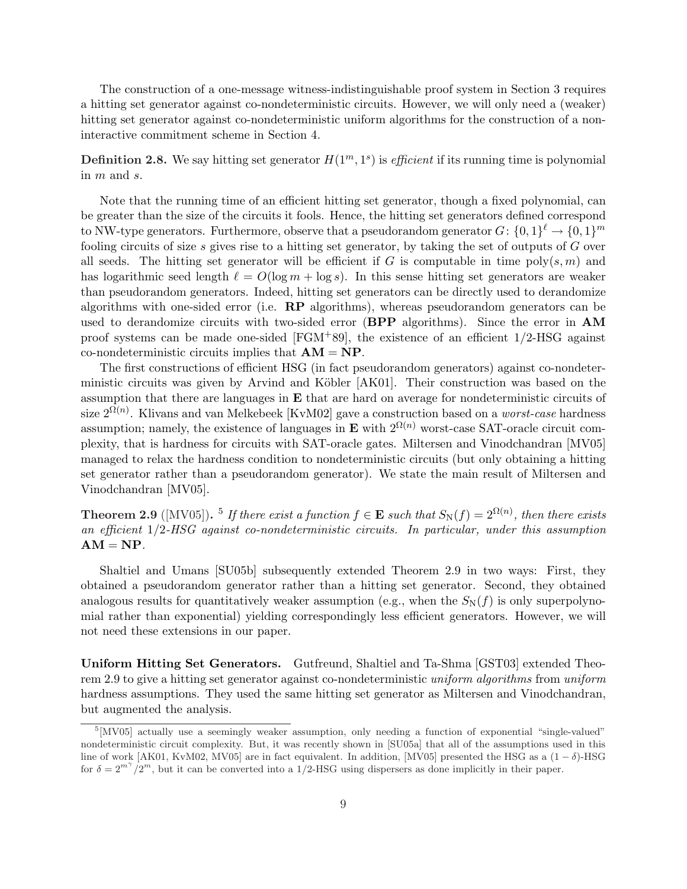The construction of a one-message witness-indistinguishable proof system in Section 3 requires a hitting set generator against co-nondeterministic circuits. However, we will only need a (weaker) hitting set generator against co-nondeterministic uniform algorithms for the construction of a noninteractive commitment scheme in Section 4.

**Definition 2.8.** We say hitting set generator  $H(1^m, 1^s)$  is *efficient* if its running time is polynomial in m and s.

Note that the running time of an efficient hitting set generator, though a fixed polynomial, can be greater than the size of the circuits it fools. Hence, the hitting set generators defined correspond to NW-type generators. Furthermore, observe that a pseudorandom generator  $G: \{0,1\}^{\ell} \to \{0,1\}^m$ fooling circuits of size s gives rise to a hitting set generator, by taking the set of outputs of G over all seeds. The hitting set generator will be efficient if G is computable in time  $\text{poly}(s, m)$  and has logarithmic seed length  $\ell = O(\log m + \log s)$ . In this sense hitting set generators are weaker than pseudorandom generators. Indeed, hitting set generators can be directly used to derandomize algorithms with one-sided error (i.e. RP algorithms), whereas pseudorandom generators can be used to derandomize circuits with two-sided error (BPP algorithms). Since the error in AM proof systems can be made one-sided  $[FGM+89]$ , the existence of an efficient  $1/2$ -HSG against co-nondeterministic circuits implies that  $AM = NP$ .

The first constructions of efficient HSG (in fact pseudorandom generators) against co-nondeterministic circuits was given by Arvind and Köbler [AK01]. Their construction was based on the assumption that there are languages in  $E$  that are hard on average for nondeterministic circuits of size  $2^{\Omega(n)}$ . Klivans and van Melkebeek [KvM02] gave a construction based on a *worst-case* hardness assumption; namely, the existence of languages in **E** with  $2^{\Omega(n)}$  worst-case SAT-oracle circuit complexity, that is hardness for circuits with SAT-oracle gates. Miltersen and Vinodchandran [MV05] managed to relax the hardness condition to nondeterministic circuits (but only obtaining a hitting set generator rather than a pseudorandom generator). We state the main result of Miltersen and Vinodchandran [MV05].

**Theorem 2.9** ([MV05]). <sup>5</sup> If there exist a function  $f \in \mathbf{E}$  such that  $S_{\rm N}(f) = 2^{\Omega(n)}$ , then there exists an efficient 1/2-HSG against co-nondeterministic circuits. In particular, under this assumption  $AM = NP$ .

Shaltiel and Umans [SU05b] subsequently extended Theorem 2.9 in two ways: First, they obtained a pseudorandom generator rather than a hitting set generator. Second, they obtained analogous results for quantitatively weaker assumption (e.g., when the  $S_N(f)$ ) is only superpolynomial rather than exponential) yielding correspondingly less efficient generators. However, we will not need these extensions in our paper.

Uniform Hitting Set Generators. Gutfreund, Shaltiel and Ta-Shma [GST03] extended Theorem 2.9 to give a hitting set generator against co-nondeterministic uniform algorithms from uniform hardness assumptions. They used the same hitting set generator as Miltersen and Vinodchandran, but augmented the analysis.

<sup>&</sup>lt;sup>5</sup>[MV05] actually use a seemingly weaker assumption, only needing a function of exponential "single-valued" nondeterministic circuit complexity. But, it was recently shown in [SU05a] that all of the assumptions used in this line of work [AK01, KvM02, MV05] are in fact equivalent. In addition, [MV05] presented the HSG as a  $(1 - \delta)$ -HSG for  $\delta = 2^{m^{\gamma}}/2^m$ , but it can be converted into a 1/2-HSG using dispersers as done implicitly in their paper.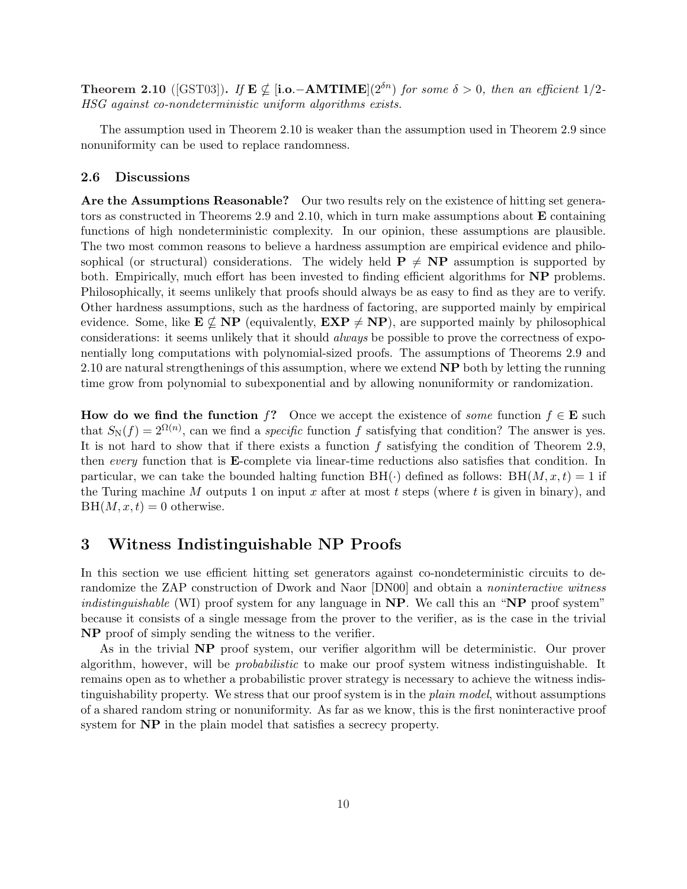Theorem 2.10 ([GST03]). If  $\mathbf{E} \nsubseteq$  [i.o.–AMTIME]( $2^{\delta n}$ ) for some  $\delta > 0$ , then an efficient 1/2-HSG against co-nondeterministic uniform algorithms exists.

The assumption used in Theorem 2.10 is weaker than the assumption used in Theorem 2.9 since nonuniformity can be used to replace randomness.

#### 2.6 Discussions

Are the Assumptions Reasonable? Our two results rely on the existence of hitting set generators as constructed in Theorems 2.9 and 2.10, which in turn make assumptions about  $\bf{E}$  containing functions of high nondeterministic complexity. In our opinion, these assumptions are plausible. The two most common reasons to believe a hardness assumption are empirical evidence and philosophical (or structural) considerations. The widely held  $P \neq NP$  assumption is supported by both. Empirically, much effort has been invested to finding efficient algorithms for NP problems. Philosophically, it seems unlikely that proofs should always be as easy to find as they are to verify. Other hardness assumptions, such as the hardness of factoring, are supported mainly by empirical evidence. Some, like  $\mathbf{E} \nsubseteq \mathbf{NP}$  (equivalently,  $\mathbf{EXP} \neq \mathbf{NP}$ ), are supported mainly by philosophical considerations: it seems unlikely that it should always be possible to prove the correctness of exponentially long computations with polynomial-sized proofs. The assumptions of Theorems 2.9 and 2.10 are natural strengthenings of this assumption, where we extend  $NP$  both by letting the running time grow from polynomial to subexponential and by allowing nonuniformity or randomization.

How do we find the function f? Once we accept the existence of some function  $f \in \mathbf{E}$  such that  $S_{\rm N}(f) = 2^{\Omega(n)}$ , can we find a *specific* function f satisfying that condition? The answer is yes. It is not hard to show that if there exists a function  $f$  satisfying the condition of Theorem 2.9, then every function that is **E**-complete via linear-time reductions also satisfies that condition. In particular, we can take the bounded halting function  $BH(\cdot)$  defined as follows:  $BH(M, x, t) = 1$  if the Turing machine M outputs 1 on input x after at most t steps (where t is given in binary), and  $BH(M, x, t) = 0$  otherwise.

## 3 Witness Indistinguishable NP Proofs

In this section we use efficient hitting set generators against co-nondeterministic circuits to derandomize the ZAP construction of Dwork and Naor [DN00] and obtain a noninteractive witness *indistinguishable* (WI) proof system for any language in  $\mathbf{NP}$ . We call this an " $\mathbf{NP}$  proof system" because it consists of a single message from the prover to the verifier, as is the case in the trivial NP proof of simply sending the witness to the verifier.

As in the trivial NP proof system, our verifier algorithm will be deterministic. Our prover algorithm, however, will be probabilistic to make our proof system witness indistinguishable. It remains open as to whether a probabilistic prover strategy is necessary to achieve the witness indistinguishability property. We stress that our proof system is in the *plain model*, without assumptions of a shared random string or nonuniformity. As far as we know, this is the first noninteractive proof system for NP in the plain model that satisfies a secrecy property.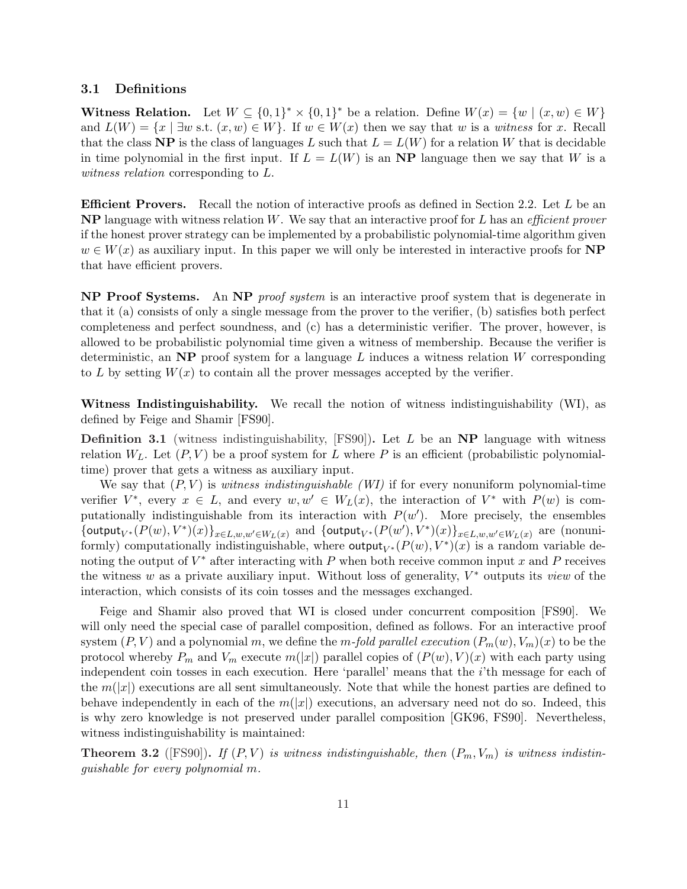#### 3.1 Definitions

**Witness Relation.** Let  $W \subseteq \{0,1\}^* \times \{0,1\}^*$  be a relation. Define  $W(x) = \{w \mid (x,w) \in W\}$ and  $L(W) = \{x \mid \exists w \text{ s.t. } (x, w) \in W\}$ . If  $w \in W(x)$  then we say that w is a witness for x. Recall that the class  $\mathbf{NP}$  is the class of languages L such that  $L = L(W)$  for a relation W that is decidable in time polynomial in the first input. If  $L = L(W)$  is an **NP** language then we say that W is a witness relation corresponding to L.

**Efficient Provers.** Recall the notion of interactive proofs as defined in Section 2.2. Let L be an  $\bf NP$  language with witness relation W. We say that an interactive proof for L has an efficient prover if the honest prover strategy can be implemented by a probabilistic polynomial-time algorithm given  $w \in W(x)$  as auxiliary input. In this paper we will only be interested in interactive proofs for NP that have efficient provers.

NP Proof Systems. An NP proof system is an interactive proof system that is degenerate in that it (a) consists of only a single message from the prover to the verifier, (b) satisfies both perfect completeness and perfect soundness, and (c) has a deterministic verifier. The prover, however, is allowed to be probabilistic polynomial time given a witness of membership. Because the verifier is deterministic, an  $\bf NP$  proof system for a language L induces a witness relation W corresponding to L by setting  $W(x)$  to contain all the prover messages accepted by the verifier.

Witness Indistinguishability. We recall the notion of witness indistinguishability (WI), as defined by Feige and Shamir [FS90].

**Definition 3.1** (witness indistinguishability, [FS90]). Let  $L$  be an **NP** language with witness relation  $W_L$ . Let  $(P, V)$  be a proof system for L where P is an efficient (probabilistic polynomialtime) prover that gets a witness as auxiliary input.

We say that  $(P, V)$  is *witness indistinguishable (WI)* if for every nonuniform polynomial-time verifier  $V^*$ , every  $x \in L$ , and every  $w, w' \in W_L(x)$ , the interaction of  $V^*$  with  $P(w)$  is computationally indistinguishable from its interaction with  $P(w')$ . More precisely, the ensembles  ${\{\textsf{output}_{V^*}(P(w),V^*)(x)\}_{x\in L,w,w'\in W_L(x)}\,}$  and  ${\{\textsf{output}_{V^*}(P(w'),V^*)(x)\}_{x\in L,w,w'\in W_L(x)}\,}$  are (nonuniformly) computationally indistinguishable, where  $\textsf{output}_{V^*}(P(w), V^*)(x)$  is a random variable denoting the output of  $V^*$  after interacting with P when both receive common input x and P receives the witness w as a private auxiliary input. Without loss of generality,  $V^*$  outputs its *view* of the interaction, which consists of its coin tosses and the messages exchanged.

Feige and Shamir also proved that WI is closed under concurrent composition [FS90]. We will only need the special case of parallel composition, defined as follows. For an interactive proof system  $(P, V)$  and a polynomial m, we define the m-fold parallel execution  $(P_m(w), V_m)(x)$  to be the protocol whereby  $P_m$  and  $V_m$  execute  $m(|x|)$  parallel copies of  $(P(w), V)(x)$  with each party using independent coin tosses in each execution. Here 'parallel' means that the i'th message for each of the  $m(|x|)$  executions are all sent simultaneously. Note that while the honest parties are defined to behave independently in each of the  $m(|x|)$  executions, an adversary need not do so. Indeed, this is why zero knowledge is not preserved under parallel composition [GK96, FS90]. Nevertheless, witness indistinguishability is maintained:

**Theorem 3.2** ([FS90]). If  $(P, V)$  is witness indistinguishable, then  $(P_m, V_m)$  is witness indistinguishable for every polynomial m.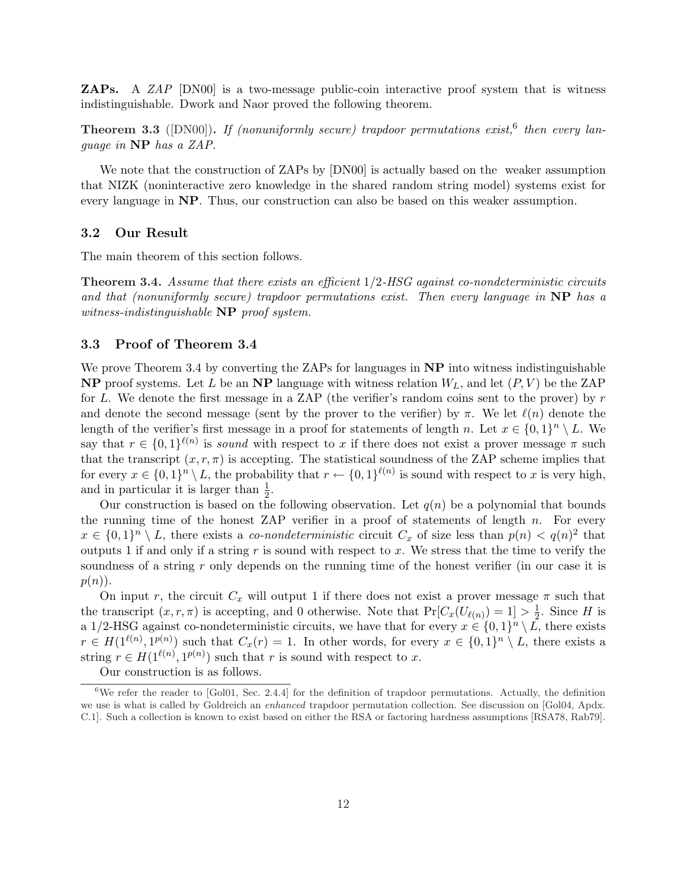**ZAPs.** A ZAP [DN00] is a two-message public-coin interactive proof system that is witness indistinguishable. Dwork and Naor proved the following theorem.

**Theorem 3.3** ([DN00]). If (nonuniformly secure) trapdoor permutations exist,  $6$  then every language in NP has a ZAP.

We note that the construction of ZAPs by [DN00] is actually based on the weaker assumption that NIZK (noninteractive zero knowledge in the shared random string model) systems exist for every language in NP. Thus, our construction can also be based on this weaker assumption.

#### 3.2 Our Result

The main theorem of this section follows.

**Theorem 3.4.** Assume that there exists an efficient  $1/2$ -HSG against co-nondeterministic circuits and that (nonuniformly secure) trapdoor permutations exist. Then every language in NP has a witness-indistinguishable **NP** proof system.

#### 3.3 Proof of Theorem 3.4

We prove Theorem 3.4 by converting the ZAPs for languages in **NP** into witness indistinguishable **NP** proof systems. Let L be an **NP** language with witness relation  $W_L$ , and let  $(P, V)$  be the ZAP for L. We denote the first message in a ZAP (the verifier's random coins sent to the prover) by  $r$ and denote the second message (sent by the prover to the verifier) by  $\pi$ . We let  $\ell(n)$  denote the length of the verifier's first message in a proof for statements of length n. Let  $x \in \{0,1\}^n \setminus L$ . We say that  $r \in \{0,1\}^{\ell(n)}$  is sound with respect to x if there does not exist a prover message  $\pi$  such that the transcript  $(x, r, \pi)$  is accepting. The statistical soundness of the ZAP scheme implies that for every  $x \in \{0,1\}^n \setminus L$ , the probability that  $r \leftarrow \{0,1\}^{\ell(n)}$  is sound with respect to x is very high, and in particular it is larger than  $\frac{1}{2}$ .

Our construction is based on the following observation. Let  $q(n)$  be a polynomial that bounds the running time of the honest ZAP verifier in a proof of statements of length n. For every  $x \in \{0,1\}^n \setminus L$ , there exists a co-nondeterministic circuit  $C_x$  of size less than  $p(n) < q(n)^2$  that outputs 1 if and only if a string r is sound with respect to x. We stress that the time to verify the soundness of a string r only depends on the running time of the honest verifier (in our case it is  $p(n)$ ).

On input r, the circuit  $C_x$  will output 1 if there does not exist a prover message  $\pi$  such that the transcript  $(x, r, \pi)$  is accepting, and 0 otherwise. Note that  $Pr[C_x(U_{\ell(n)}) = 1] > \frac{1}{2}$  $\frac{1}{2}$ . Since H is a 1/2-HSG against co-nondeterministic circuits, we have that for every  $x \in \{0,1\}^n \setminus L$ , there exists  $r \in H(1^{\ell(n)}, 1^{p(n)})$  such that  $C_x(r) = 1$ . In other words, for every  $x \in \{0,1\}^n \setminus L$ , there exists a string  $r \in H(1^{\ell(n)}, 1^{p(n)})$  such that r is sound with respect to x.

Our construction is as follows.

 $6$ We refer the reader to [Gol01, Sec. 2.4.4] for the definition of trapdoor permutations. Actually, the definition we use is what is called by Goldreich an *enhanced* trapdoor permutation collection. See discussion on [Gol04, Apdx. C.1]. Such a collection is known to exist based on either the RSA or factoring hardness assumptions [RSA78, Rab79].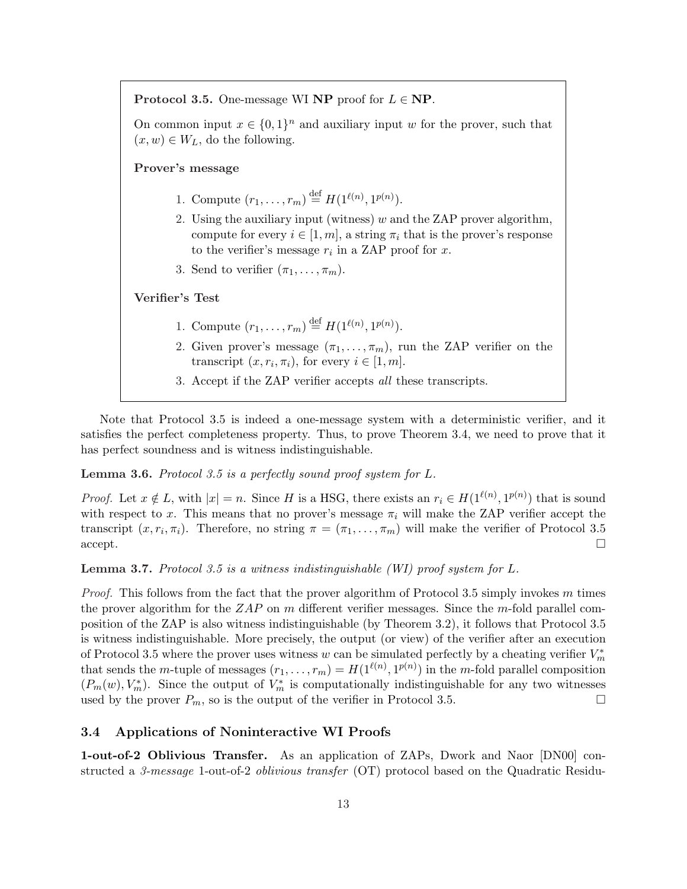Protocol 3.5. One-message WI NP proof for  $L \in \mathbf{NP}$ .

On common input  $x \in \{0,1\}^n$  and auxiliary input w for the prover, such that  $(x, w) \in W_L$ , do the following.

Prover's message

- 1. Compute  $(r_1, ..., r_m) \stackrel{\text{def}}{=} H(1^{\ell(n)}, 1^{p(n)}).$
- 2. Using the auxiliary input (witness)  $w$  and the ZAP prover algorithm, compute for every  $i \in [1, m]$ , a string  $\pi_i$  that is the prover's response to the verifier's message  $r_i$  in a ZAP proof for x.
- 3. Send to verifier  $(\pi_1, \ldots, \pi_m)$ .

Verifier's Test

- 1. Compute  $(r_1, ..., r_m) \stackrel{\text{def}}{=} H(1^{\ell(n)}, 1^{p(n)}).$
- 2. Given prover's message  $(\pi_1, \ldots, \pi_m)$ , run the ZAP verifier on the transcript  $(x, r_i, \pi_i)$ , for every  $i \in [1, m]$ .
- 3. Accept if the ZAP verifier accepts all these transcripts.

Note that Protocol 3.5 is indeed a one-message system with a deterministic verifier, and it satisfies the perfect completeness property. Thus, to prove Theorem 3.4, we need to prove that it has perfect soundness and is witness indistinguishable.

Lemma 3.6. Protocol 3.5 is a perfectly sound proof system for L.

*Proof.* Let  $x \notin L$ , with  $|x| = n$ . Since H is a HSG, there exists an  $r_i \in H(1^{\ell(n)}, 1^{p(n)})$  that is sound with respect to x. This means that no prover's message  $\pi_i$  will make the ZAP verifier accept the transcript  $(x, r_i, \pi_i)$ . Therefore, no string  $\pi = (\pi_1, \ldots, \pi_m)$  will make the verifier of Protocol 3.5  $\Box$  accept.

#### **Lemma 3.7.** Protocol 3.5 is a witness indistinguishable  $(WI)$  proof system for L.

*Proof.* This follows from the fact that the prover algorithm of Protocol 3.5 simply invokes m times the prover algorithm for the  $ZAP$  on m different verifier messages. Since the m-fold parallel composition of the ZAP is also witness indistinguishable (by Theorem 3.2), it follows that Protocol 3.5 is witness indistinguishable. More precisely, the output (or view) of the verifier after an execution of Protocol 3.5 where the prover uses witness w can be simulated perfectly by a cheating verifier  $V_m^*$ that sends the *m*-tuple of messages  $(r_1, \ldots, r_m) = H(1^{\ell(n)}, 1^{p(n)})$  in the *m*-fold parallel composition  $(P_m(w), V_m^*)$ . Since the output of  $V_m^*$  is computationally indistinguishable for any two witnesses used by the prover  $P_m$ , so is the output of the verifier in Protocol 3.5.

#### 3.4 Applications of Noninteractive WI Proofs

1-out-of-2 Oblivious Transfer. As an application of ZAPs, Dwork and Naor [DN00] constructed a 3-message 1-out-of-2 oblivious transfer (OT) protocol based on the Quadratic Residu-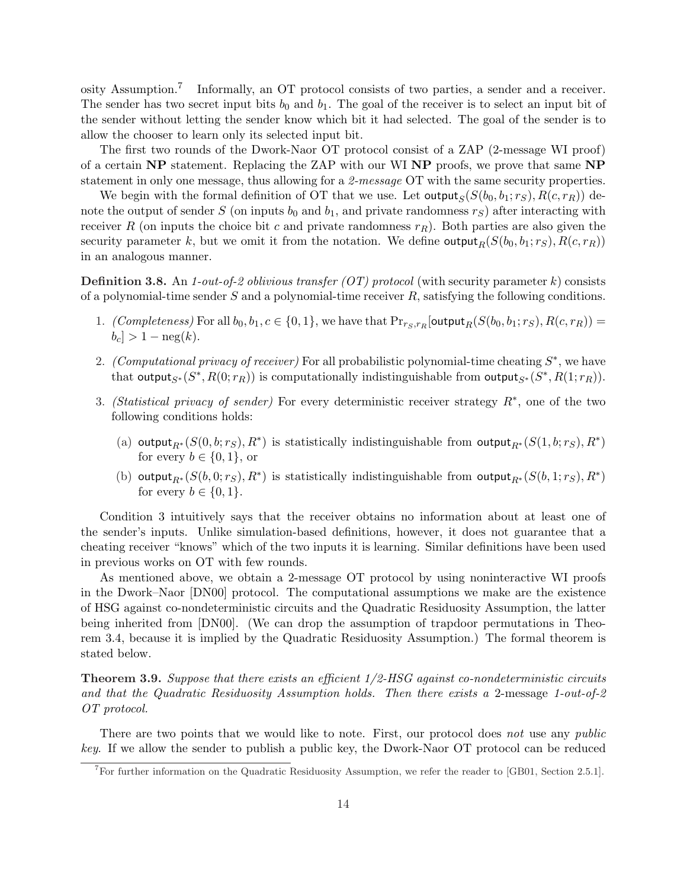osity Assumption.<sup>7</sup> Informally, an OT protocol consists of two parties, a sender and a receiver. The sender has two secret input bits  $b_0$  and  $b_1$ . The goal of the receiver is to select an input bit of the sender without letting the sender know which bit it had selected. The goal of the sender is to allow the chooser to learn only its selected input bit.

The first two rounds of the Dwork-Naor OT protocol consist of a ZAP (2-message WI proof) of a certain NP statement. Replacing the ZAP with our WI NP proofs, we prove that same NP statement in only one message, thus allowing for a 2-message OT with the same security properties.

We begin with the formal definition of OT that we use. Let  $\text{output}_S(S(b_0, b_1; r_S), R(c, r_R))$  denote the output of sender S (on inputs  $b_0$  and  $b_1$ , and private randomness  $r_S$ ) after interacting with receiver R (on inputs the choice bit c and private randomness  $r_R$ ). Both parties are also given the security parameter k, but we omit it from the notation. We define output<sub>R</sub> $(S(b_0, b_1; r_S), R(c, r_R))$ in an analogous manner.

**Definition 3.8.** An 1-out-of-2 oblivious transfer  $(OT)$  protocol (with security parameter k) consists of a polynomial-time sender  $S$  and a polynomial-time receiver  $R$ , satisfying the following conditions.

- 1. (Completeness) For all  $b_0, b_1, c \in \{0, 1\}$ , we have that  $Pr_{rs, rn}$  [output  $_R(S(b_0, b_1; rs), R(c, r_R)) =$  $|b_c| > 1 - \text{neg}(k)$ .
- 2. (Computational privacy of receiver) For all probabilistic polynomial-time cheating  $S^*$ , we have that output<sub>S<sup>∗</sub></sup>( $S^*$ ,  $R(0; r_R)$ ) is computationally indistinguishable from output<sub>S<sup>\*</sub></sup>( $S^*$ ,  $R(1; r_R)$ ).</sub></sub>
- 3. (Statistical privacy of sender) For every deterministic receiver strategy  $R^*$ , one of the two following conditions holds:
	- (a) output<sub>R<sup>∗</sub></sup>( $S(0, b; r_S)$ , R<sup>\*</sup>) is statistically indistinguishable from output<sub>R<sup>\*</sub></sup>( $S(1, b; r_S)$ , R<sup>\*</sup>)</sub></sub> for every  $b \in \{0, 1\}$ , or
	- (b) output<sub>R<sup>∗</sub></sup>( $S(b, 0; r_S)$ , R<sup>\*</sup>) is statistically indistinguishable from output<sub>R<sup>\*</sub></sup>( $S(b, 1; r_S)$ , R<sup>\*</sup>)</sub></sub> for every  $b \in \{0, 1\}.$

Condition 3 intuitively says that the receiver obtains no information about at least one of the sender's inputs. Unlike simulation-based definitions, however, it does not guarantee that a cheating receiver "knows" which of the two inputs it is learning. Similar definitions have been used in previous works on OT with few rounds.

As mentioned above, we obtain a 2-message OT protocol by using noninteractive WI proofs in the Dwork–Naor [DN00] protocol. The computational assumptions we make are the existence of HSG against co-nondeterministic circuits and the Quadratic Residuosity Assumption, the latter being inherited from [DN00]. (We can drop the assumption of trapdoor permutations in Theorem 3.4, because it is implied by the Quadratic Residuosity Assumption.) The formal theorem is stated below.

**Theorem 3.9.** Suppose that there exists an efficient  $1/2$ -HSG against co-nondeterministic circuits and that the Quadratic Residuosity Assumption holds. Then there exists a 2-message 1-out-of-2 OT protocol.

There are two points that we would like to note. First, our protocol does not use any public key. If we allow the sender to publish a public key, the Dwork-Naor OT protocol can be reduced

<sup>&</sup>lt;sup>7</sup>For further information on the Quadratic Residuosity Assumption, we refer the reader to [GB01, Section 2.5.1].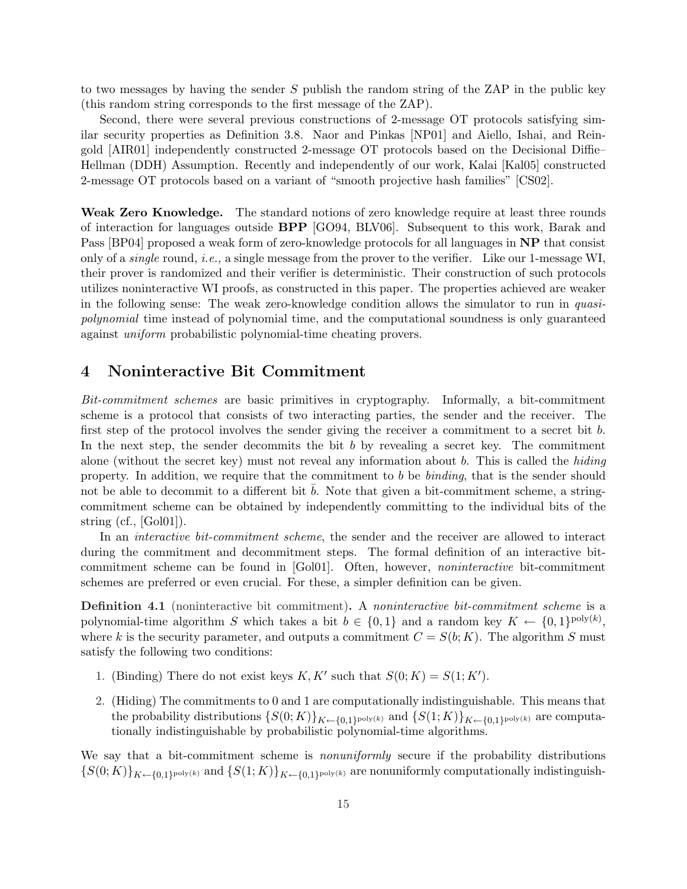to two messages by having the sender  $S$  publish the random string of the ZAP in the public key (this random string corresponds to the first message of the ZAP).

Second, there were several previous constructions of 2-message OT protocols satisfying similar security properties as Definition 3.8. Naor and Pinkas [NP01] and Aiello, Ishai, and Reingold [AIR01] independently constructed 2-message OT protocols based on the Decisional Diffie– Hellman (DDH) Assumption. Recently and independently of our work, Kalai [Kal05] constructed 2-message OT protocols based on a variant of "smooth projective hash families" [CS02].

Weak Zero Knowledge. The standard notions of zero knowledge require at least three rounds of interaction for languages outside BPP [GO94, BLV06]. Subsequent to this work, Barak and Pass [BP04] proposed a weak form of zero-knowledge protocols for all languages in NP that consist only of a single round, i.e., a single message from the prover to the verifier. Like our 1-message WI, their prover is randomized and their verifier is deterministic. Their construction of such protocols utilizes noninteractive WI proofs, as constructed in this paper. The properties achieved are weaker in the following sense: The weak zero-knowledge condition allows the simulator to run in quasipolynomial time instead of polynomial time, and the computational soundness is only guaranteed against uniform probabilistic polynomial-time cheating provers.

## 4 Noninteractive Bit Commitment

Bit-commitment schemes are basic primitives in cryptography. Informally, a bit-commitment scheme is a protocol that consists of two interacting parties, the sender and the receiver. The first step of the protocol involves the sender giving the receiver a commitment to a secret bit b. In the next step, the sender decommits the bit  $b$  by revealing a secret key. The commitment alone (without the secret key) must not reveal any information about  $b$ . This is called the *hiding* property. In addition, we require that the commitment to b be binding, that is the sender should not be able to decommit to a different bit  $b$ . Note that given a bit-commitment scheme, a stringcommitment scheme can be obtained by independently committing to the individual bits of the string  $(cf., |Gold1$ ).

In an interactive bit-commitment scheme, the sender and the receiver are allowed to interact during the commitment and decommitment steps. The formal definition of an interactive bitcommitment scheme can be found in [Gol01]. Often, however, noninteractive bit-commitment schemes are preferred or even crucial. For these, a simpler definition can be given.

Definition 4.1 (noninteractive bit commitment). A noninteractive bit-commitment scheme is a polynomial-time algorithm S which takes a bit  $b \in \{0,1\}$  and a random key  $K \leftarrow \{0,1\}^{\text{poly}(k)}$ , where k is the security parameter, and outputs a commitment  $C = S(b; K)$ . The algorithm S must satisfy the following two conditions:

- 1. (Binding) There do not exist keys  $K, K'$  such that  $S(0; K) = S(1; K')$ .
- 2. (Hiding) The commitments to 0 and 1 are computationally indistinguishable. This means that the probability distributions  $\{S(0;K)\}_{K\leftarrow\{0,1\}^{\text{poly}(k)}}$  and  $\{S(1;K)\}_{K\leftarrow\{0,1\}^{\text{poly}(k)}}$  are computationally indistinguishable by probabilistic polynomial-time algorithms.

We say that a bit-commitment scheme is *nonuniformly* secure if the probability distributions  ${S(0; K)}_{K \leftarrow \{0,1\}^{\text{poly}(k)}}$  and  ${S(1; K)}_{K \leftarrow \{0,1\}^{\text{poly}(k)}}$  are nonuniformly computationally indistinguish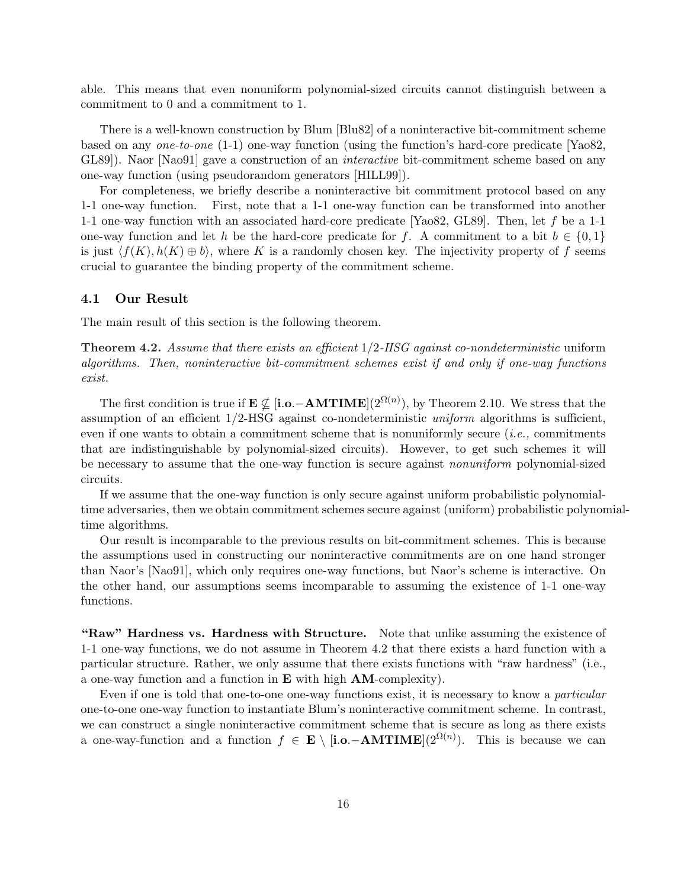able. This means that even nonuniform polynomial-sized circuits cannot distinguish between a commitment to 0 and a commitment to 1.

There is a well-known construction by Blum [Blu82] of a noninteractive bit-commitment scheme based on any one-to-one (1-1) one-way function (using the function's hard-core predicate [Yao82, GL89]). Naor [Nao91] gave a construction of an *interactive* bit-commitment scheme based on any one-way function (using pseudorandom generators [HILL99]).

For completeness, we briefly describe a noninteractive bit commitment protocol based on any 1-1 one-way function. First, note that a 1-1 one-way function can be transformed into another 1-1 one-way function with an associated hard-core predicate [Yao82, GL89]. Then, let f be a 1-1 one-way function and let h be the hard-core predicate for f. A commitment to a bit  $b \in \{0,1\}$ is just  $\langle f(K), h(K) \oplus b \rangle$ , where K is a randomly chosen key. The injectivity property of f seems crucial to guarantee the binding property of the commitment scheme.

#### 4.1 Our Result

The main result of this section is the following theorem.

**Theorem 4.2.** Assume that there exists an efficient  $1/2$ -HSG against co-nondeterministic uniform algorithms. Then, noninteractive bit-commitment schemes exist if and only if one-way functions exist.

The first condition is true if  $\mathbf{E} \nsubseteq [\mathbf{i}.\mathbf{o}.-\mathbf{AMTIME}](2^{\Omega(n)})$ , by Theorem 2.10. We stress that the assumption of an efficient  $1/2$ -HSG against co-nondeterministic *uniform* algorithms is sufficient, even if one wants to obtain a commitment scheme that is nonuniformly secure  $(i.e.,$  commitments that are indistinguishable by polynomial-sized circuits). However, to get such schemes it will be necessary to assume that the one-way function is secure against nonuniform polynomial-sized circuits.

If we assume that the one-way function is only secure against uniform probabilistic polynomialtime adversaries, then we obtain commitment schemes secure against (uniform) probabilistic polynomialtime algorithms.

Our result is incomparable to the previous results on bit-commitment schemes. This is because the assumptions used in constructing our noninteractive commitments are on one hand stronger than Naor's [Nao91], which only requires one-way functions, but Naor's scheme is interactive. On the other hand, our assumptions seems incomparable to assuming the existence of 1-1 one-way functions.

"Raw" Hardness vs. Hardness with Structure. Note that unlike assuming the existence of 1-1 one-way functions, we do not assume in Theorem 4.2 that there exists a hard function with a particular structure. Rather, we only assume that there exists functions with "raw hardness" (i.e., a one-way function and a function in E with high AM-complexity).

Even if one is told that one-to-one one-way functions exist, it is necessary to know a *particular* one-to-one one-way function to instantiate Blum's noninteractive commitment scheme. In contrast, we can construct a single noninteractive commitment scheme that is secure as long as there exists a one-way-function and a function  $f \in \mathbf{E} \setminus [\mathbf{i.o.-AMTIME}](2^{\Omega(n)})$ . This is because we can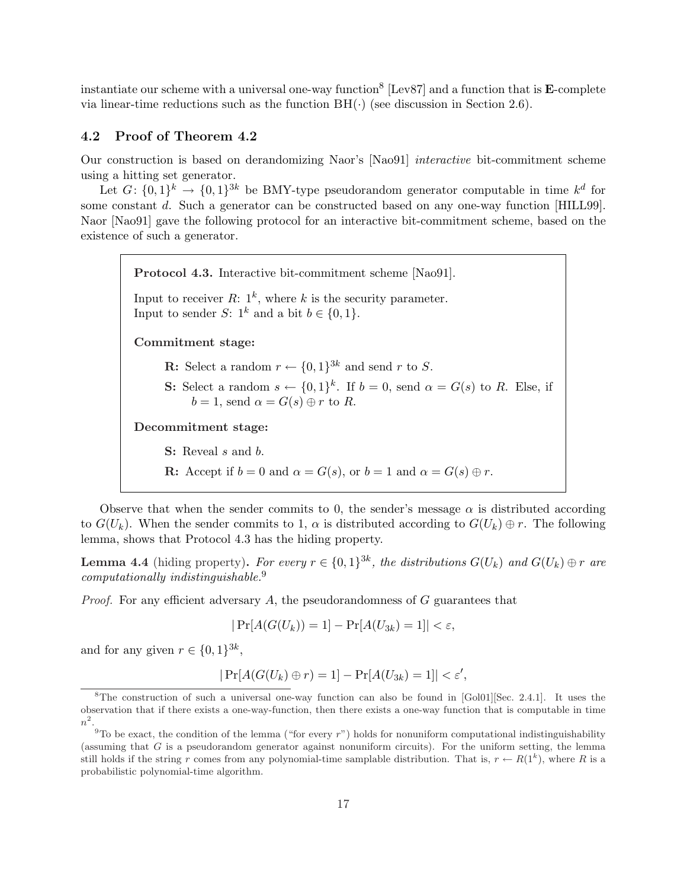instantiate our scheme with a universal one-way function<sup>8</sup> [Lev87] and a function that is  $\mathbf{E}$ -complete via linear-time reductions such as the function  $BH(\cdot)$  (see discussion in Section 2.6).

#### 4.2 Proof of Theorem 4.2

Our construction is based on derandomizing Naor's [Nao91] interactive bit-commitment scheme using a hitting set generator.

Let  $G: \{0,1\}^k \to \{0,1\}^{3k}$  be BMY-type pseudorandom generator computable in time  $k^d$  for some constant d. Such a generator can be constructed based on any one-way function [HILL99]. Naor [Nao91] gave the following protocol for an interactive bit-commitment scheme, based on the existence of such a generator.

Protocol 4.3. Interactive bit-commitment scheme [Nao91]. Input to receiver  $R: 1^k$ , where k is the security parameter. Input to sender S:  $1^k$  and a bit  $b \in \{0, 1\}.$ Commitment stage: **R:** Select a random  $r \leftarrow \{0, 1\}^{3k}$  and send r to S. **S:** Select a random  $s \leftarrow \{0,1\}^k$ . If  $b = 0$ , send  $\alpha = G(s)$  to R. Else, if  $b = 1$ , send  $\alpha = G(s) \oplus r$  to R. Decommitment stage: S: Reveal s and b. **R:** Accept if  $b = 0$  and  $\alpha = G(s)$ , or  $b = 1$  and  $\alpha = G(s) \oplus r$ .

Observe that when the sender commits to 0, the sender's message  $\alpha$  is distributed according to  $G(U_k)$ . When the sender commits to 1,  $\alpha$  is distributed according to  $G(U_k) \oplus r$ . The following lemma, shows that Protocol 4.3 has the hiding property.

**Lemma 4.4** (hiding property). For every  $r \in \{0,1\}^{3k}$ , the distributions  $G(U_k)$  and  $G(U_k) \oplus r$  are computationally indistinguishable.<sup>9</sup>

*Proof.* For any efficient adversary A, the pseudorandomness of G guarantees that

$$
|\Pr[A(G(U_k)) = 1] - \Pr[A(U_{3k}) = 1]| < \varepsilon,
$$

and for any given  $r \in \{0, 1\}^{3k}$ ,

$$
|\Pr[A(G(U_k) \oplus r) = 1] - \Pr[A(U_{3k}) = 1]| < \varepsilon',
$$

<sup>&</sup>lt;sup>8</sup>The construction of such a universal one-way function can also be found in [Gol01][Sec. 2.4.1]. It uses the observation that if there exists a one-way-function, then there exists a one-way function that is computable in time  $n^2$ .

 $^{9}$ To be exact, the condition of the lemma ("for every r") holds for nonuniform computational indistinguishability (assuming that G is a pseudorandom generator against nonuniform circuits). For the uniform setting, the lemma still holds if the string r comes from any polynomial-time samplable distribution. That is,  $r \leftarrow R(1^k)$ , where R is a probabilistic polynomial-time algorithm.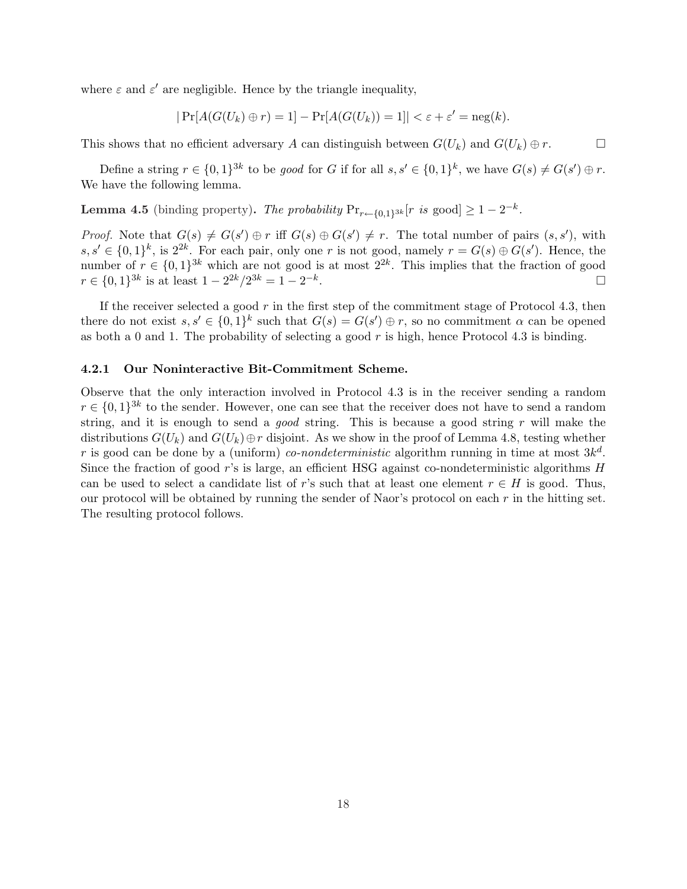where  $\varepsilon$  and  $\varepsilon'$  are negligible. Hence by the triangle inequality,

$$
|\Pr[A(G(U_k) \oplus r) = 1] - \Pr[A(G(U_k)) = 1]| < \varepsilon + \varepsilon' = \text{neg}(k).
$$

This shows that no efficient adversary A can distinguish between  $G(U_k)$  and  $G(U_k) \oplus r$ .

Define a string  $r \in \{0,1\}^{3k}$  to be good for G if for all  $s, s' \in \{0,1\}^k$ , we have  $G(s) \neq G(s') \oplus r$ . We have the following lemma.

**Lemma 4.5** (binding property). The probability  $Pr_{r \leftarrow \{0,1\}^{3k}}[r \text{ is good}] \geq 1 - 2^{-k}$ .

*Proof.* Note that  $G(s) \neq G(s') \oplus r$  iff  $G(s) \oplus G(s') \neq r$ . The total number of pairs  $(s, s')$ , with  $s, s' \in \{0,1\}^k$ , is  $2^{2k}$ . For each pair, only one r is not good, namely  $r = G(s) \oplus G(s')$ . Hence, the number of  $r \in \{0,1\}^{3k}$  which are not good is at most  $2^{2k}$ . This implies that the fraction of good  $r \in \{0,1\}^{3k}$  is at least  $1 - 2^{2k}/2^{3k} = 1 - 2^{-k}$ .  $\Box$ 

If the receiver selected a good  $r$  in the first step of the commitment stage of Protocol 4.3, then there do not exist  $s, s' \in \{0,1\}^k$  such that  $G(s) = G(s') \oplus r$ , so no commitment  $\alpha$  can be opened as both a 0 and 1. The probability of selecting a good  $r$  is high, hence Protocol 4.3 is binding.

#### 4.2.1 Our Noninteractive Bit-Commitment Scheme.

Observe that the only interaction involved in Protocol 4.3 is in the receiver sending a random  $r \in \{0,1\}^{3k}$  to the sender. However, one can see that the receiver does not have to send a random string, and it is enough to send a *good* string. This is because a good string r will make the distributions  $G(U_k)$  and  $G(U_k) \oplus r$  disjoint. As we show in the proof of Lemma 4.8, testing whether r is good can be done by a (uniform) co-nondeterministic algorithm running in time at most  $3k^d$ . Since the fraction of good r's is large, an efficient HSG against co-nondeterministic algorithms H can be used to select a candidate list of r's such that at least one element  $r \in H$  is good. Thus, our protocol will be obtained by running the sender of Naor's protocol on each  $r$  in the hitting set. The resulting protocol follows.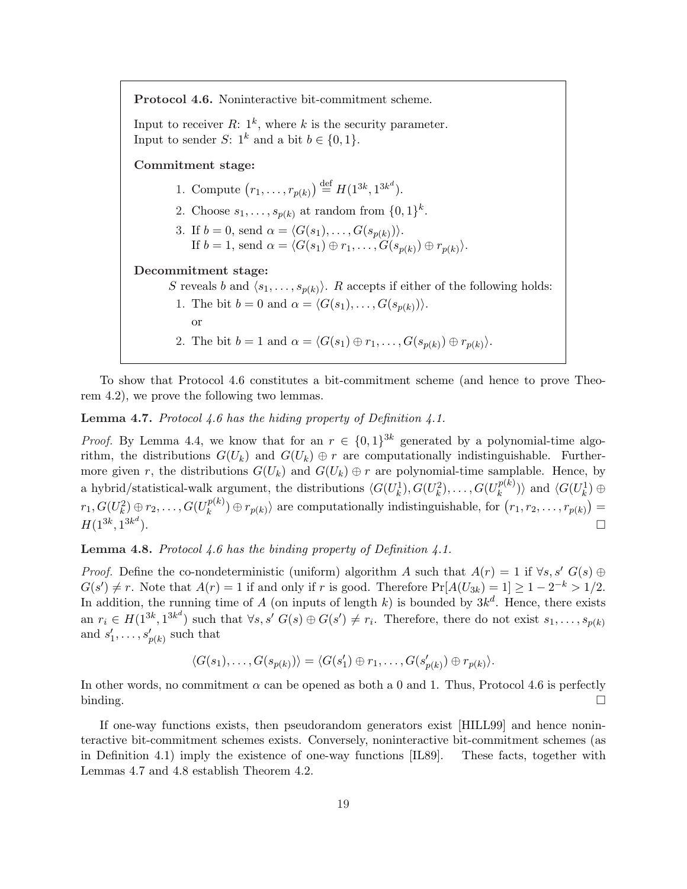Protocol 4.6. Noninteractive bit-commitment scheme.

Input to receiver  $R: 1^k$ , where k is the security parameter. Input to sender S:  $1^k$  and a bit  $b \in \{0, 1\}.$ 

#### Commitment stage:

- 1. Compute  $(r_1, \ldots, r_{p(k)}) \stackrel{\text{def}}{=} H(1^{3k}, 1^{3k^d}).$
- 2. Choose  $s_1, \ldots, s_{p(k)}$  at random from  $\{0,1\}^k$ .
- 3. If  $b = 0$ , send  $\alpha = \langle G(s_1), \ldots, G(s_{p(k)}) \rangle$ . If  $b = 1$ , send  $\alpha = \langle G(s_1) \oplus r_1, \ldots, G(s_{p(k)}) \oplus r_{p(k)} \rangle$ .

#### Decommitment stage:

- S reveals b and  $\langle s_1, \ldots, s_{p(k)} \rangle$ . R accepts if either of the following holds:
- 1. The bit  $b = 0$  and  $\alpha = \langle G(s_1), \ldots, G(s_{p(k)}) \rangle$ . or 2. The bit  $b=1$  and  $\alpha = \langle G(s_1) \oplus r_1, \ldots, G(s_{p(k)}) \oplus r_{p(k)} \rangle$ .

To show that Protocol 4.6 constitutes a bit-commitment scheme (and hence to prove Theorem 4.2), we prove the following two lemmas.

**Lemma 4.7.** Protocol 4.6 has the hiding property of Definition 4.1.

*Proof.* By Lemma 4.4, we know that for an  $r \in \{0,1\}^{3k}$  generated by a polynomial-time algorithm, the distributions  $G(U_k)$  and  $G(U_k) \oplus r$  are computationally indistinguishable. Furthermore given r, the distributions  $G(U_k)$  and  $G(U_k) \oplus r$  are polynomial-time samplable. Hence, by a hybrid/statistical-walk argument, the distributions  $\langle G(U_k^1), G(U_k^2), \ldots, G(U_k^{p(k)}\rangle)$  $\langle G(U^1_k) \rangle$  and  $\langle G(U^1_k) \oplus$  $r_1, G(U_k^2) \oplus r_2, \ldots, G(U_k^{p(k)})$  $\langle P_k^{(k)} \rangle \oplus r_{p(k)} \rangle$  are computationally indistinguishable, for  $(r_1, r_2, \ldots, r_{p(k)})$  $\frac{1}{2}$ =  $H(1^{3k},1^{3k^d}$ ).  $\Box$ 

#### **Lemma 4.8.** Protocol 4.6 has the binding property of Definition 4.1.

*Proof.* Define the co-nondeterministic (uniform) algorithm A such that  $A(r) = 1$  if  $\forall s, s' \ G(s) \oplus$  $G(s') \neq r$ . Note that  $A(r) = 1$  if and only if r is good. Therefore  $Pr[A(U_{3k}) = 1] \geq 1 - 2^{-k} > 1/2$ . In addition, the running time of A (on inputs of length k) is bounded by  $3k^d$ . Hence, there exists an  $r_i \in H(1^{3k}, 1^{3k^d})$  such that  $\forall s, s'$   $G(s) \oplus G(s') \neq r_i$ . Therefore, there do not exist  $s_1, \ldots, s_{p(k)}$ and  $s'_1, \ldots, s'_{p(k)}$  such that

$$
\langle G(s_1),\ldots,G(s_{p(k)})\rangle=\langle G(s'_1)\oplus r_1,\ldots,G(s'_{p(k)})\oplus r_{p(k)}\rangle.
$$

In other words, no commitment  $\alpha$  can be opened as both a 0 and 1. Thus, Protocol 4.6 is perfectly binding.  $\Box$ 

If one-way functions exists, then pseudorandom generators exist [HILL99] and hence noninteractive bit-commitment schemes exists. Conversely, noninteractive bit-commitment schemes (as in Definition 4.1) imply the existence of one-way functions [IL89]. These facts, together with Lemmas 4.7 and 4.8 establish Theorem 4.2.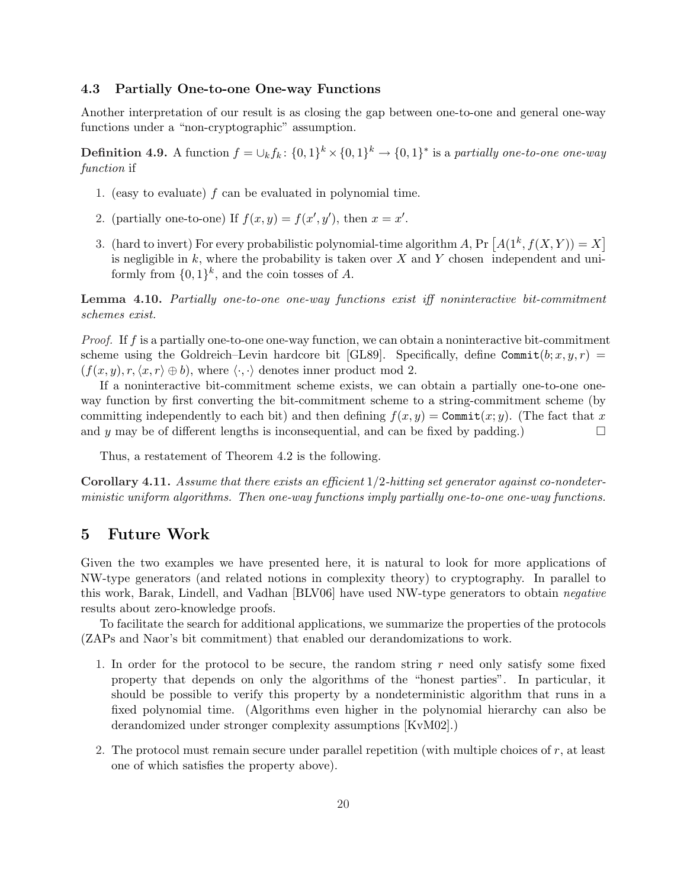#### 4.3 Partially One-to-one One-way Functions

Another interpretation of our result is as closing the gap between one-to-one and general one-way functions under a "non-cryptographic" assumption.

**Definition 4.9.** A function  $f = \bigcup_k f_k$ :  $\{0,1\}^k \times \{0,1\}^k \to \{0,1\}^*$  is a partially one-to-one one-way function if

- 1. (easy to evaluate) f can be evaluated in polynomial time.
- 2. (partially one-to-one) If  $f(x, y) = f(x', y')$ , then  $x = x'$ .
- 3. (hard to invert) For every probabilistic polynomial-time algorithm A, Pr  $[A(1^k, f(X, Y)) = X]$ l<br>E is negligible in k, where the probability is taken over  $X$  and  $Y$  chosen independent and uniformly from  $\{0,1\}^k$ , and the coin tosses of A.

Lemma 4.10. Partially one-to-one one-way functions exist iff noninteractive bit-commitment schemes exist.

Proof. If f is a partially one-to-one one-way function, we can obtain a noninteractive bit-commitment scheme using the Goldreich–Levin hardcore bit [GL89]. Specifically, define  $\text{Commit}(b; x, y, r) =$  $(f(x, y), r, \langle x, r \rangle \oplus b)$ , where  $\langle \cdot, \cdot \rangle$  denotes inner product mod 2.

If a noninteractive bit-commitment scheme exists, we can obtain a partially one-to-one oneway function by first converting the bit-commitment scheme to a string-commitment scheme (by committing independently to each bit) and then defining  $f(x, y) = \text{Commit}(x, y)$ . (The fact that x and y may be of different lengths is inconsequential, and can be fixed by padding.)  $\Box$ 

Thus, a restatement of Theorem 4.2 is the following.

Corollary 4.11. Assume that there exists an efficient  $1/2$ -hitting set generator against co-nondeterministic uniform algorithms. Then one-way functions imply partially one-to-one one-way functions.

## 5 Future Work

Given the two examples we have presented here, it is natural to look for more applications of NW-type generators (and related notions in complexity theory) to cryptography. In parallel to this work, Barak, Lindell, and Vadhan [BLV06] have used NW-type generators to obtain negative results about zero-knowledge proofs.

To facilitate the search for additional applications, we summarize the properties of the protocols (ZAPs and Naor's bit commitment) that enabled our derandomizations to work.

- 1. In order for the protocol to be secure, the random string r need only satisfy some fixed property that depends on only the algorithms of the "honest parties". In particular, it should be possible to verify this property by a nondeterministic algorithm that runs in a fixed polynomial time. (Algorithms even higher in the polynomial hierarchy can also be derandomized under stronger complexity assumptions [KvM02].)
- 2. The protocol must remain secure under parallel repetition (with multiple choices of r, at least one of which satisfies the property above).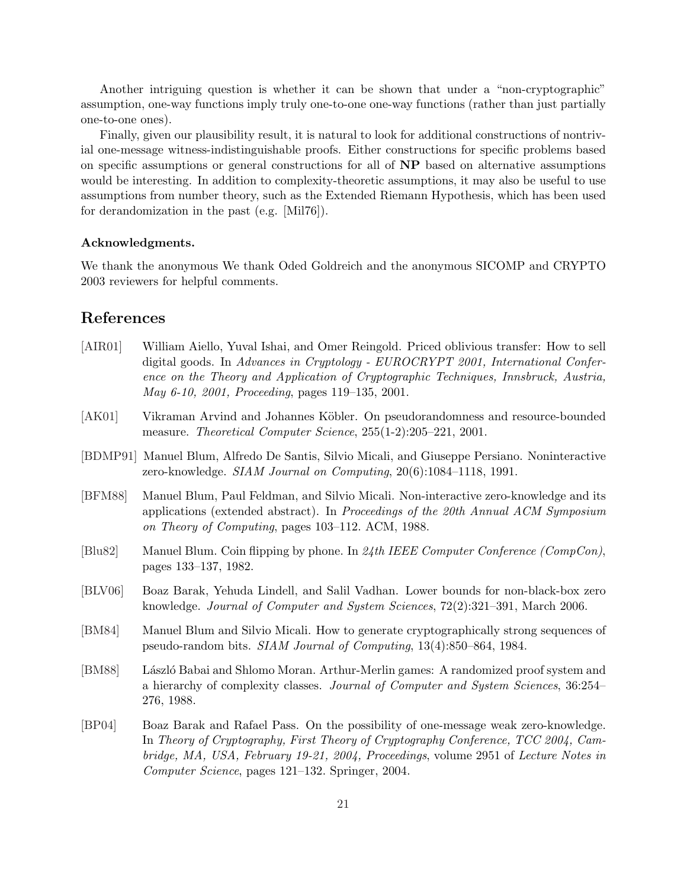Another intriguing question is whether it can be shown that under a "non-cryptographic" assumption, one-way functions imply truly one-to-one one-way functions (rather than just partially one-to-one ones).

Finally, given our plausibility result, it is natural to look for additional constructions of nontrivial one-message witness-indistinguishable proofs. Either constructions for specific problems based on specific assumptions or general constructions for all of NP based on alternative assumptions would be interesting. In addition to complexity-theoretic assumptions, it may also be useful to use assumptions from number theory, such as the Extended Riemann Hypothesis, which has been used for derandomization in the past (e.g. [Mil76]).

#### Acknowledgments.

We thank the anonymous We thank Oded Goldreich and the anonymous SICOMP and CRYPTO 2003 reviewers for helpful comments.

## References

- [AIR01] William Aiello, Yuval Ishai, and Omer Reingold. Priced oblivious transfer: How to sell digital goods. In Advances in Cryptology - EUROCRYPT 2001, International Conference on the Theory and Application of Cryptographic Techniques, Innsbruck, Austria, May 6-10, 2001, Proceeding, pages 119–135, 2001.
- [AK01] Vikraman Arvind and Johannes Köbler. On pseudorandomness and resource-bounded measure. Theoretical Computer Science, 255(1-2):205–221, 2001.
- [BDMP91] Manuel Blum, Alfredo De Santis, Silvio Micali, and Giuseppe Persiano. Noninteractive zero-knowledge. SIAM Journal on Computing, 20(6):1084–1118, 1991.
- [BFM88] Manuel Blum, Paul Feldman, and Silvio Micali. Non-interactive zero-knowledge and its applications (extended abstract). In Proceedings of the 20th Annual ACM Symposium on Theory of Computing, pages 103–112. ACM, 1988.
- [Blu82] Manuel Blum. Coin flipping by phone. In 24th IEEE Computer Conference (CompCon), pages 133–137, 1982.
- [BLV06] Boaz Barak, Yehuda Lindell, and Salil Vadhan. Lower bounds for non-black-box zero knowledge. Journal of Computer and System Sciences, 72(2):321–391, March 2006.
- [BM84] Manuel Blum and Silvio Micali. How to generate cryptographically strong sequences of pseudo-random bits. SIAM Journal of Computing, 13(4):850–864, 1984.
- [BM88] László Babai and Shlomo Moran. Arthur-Merlin games: A randomized proof system and a hierarchy of complexity classes. Journal of Computer and System Sciences, 36:254– 276, 1988.
- [BP04] Boaz Barak and Rafael Pass. On the possibility of one-message weak zero-knowledge. In Theory of Cryptography, First Theory of Cryptography Conference, TCC 2004, Cambridge, MA, USA, February 19-21, 2004, Proceedings, volume 2951 of Lecture Notes in Computer Science, pages 121–132. Springer, 2004.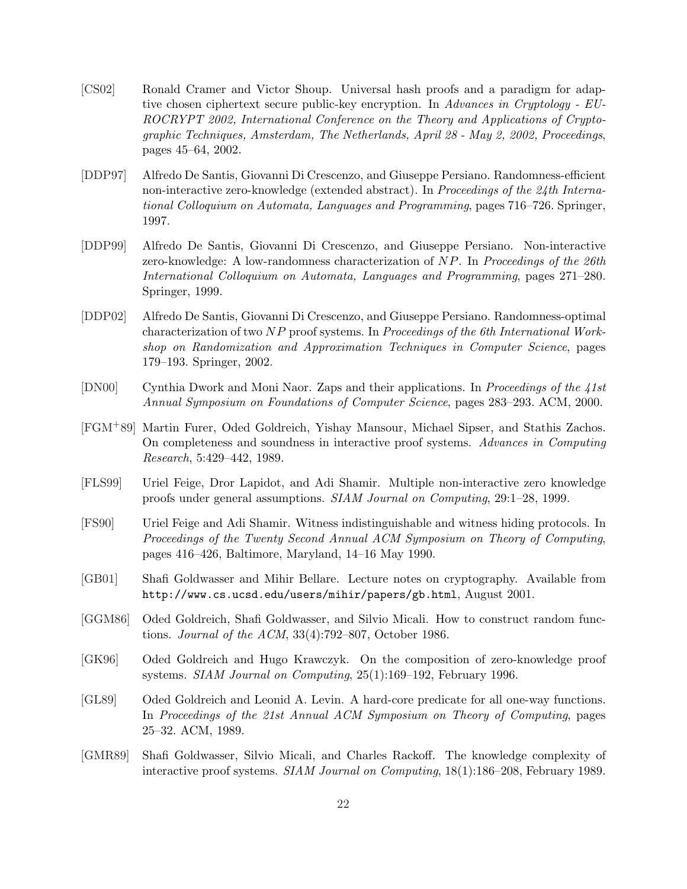- [CS02] Ronald Cramer and Victor Shoup. Universal hash proofs and a paradigm for adaptive chosen ciphertext secure public-key encryption. In Advances in Cryptology - EU-ROCRYPT 2002, International Conference on the Theory and Applications of Cryptographic Techniques, Amsterdam, The Netherlands, April 28 - May 2, 2002, Proceedings, pages 45–64, 2002.
- [DDP97] Alfredo De Santis, Giovanni Di Crescenzo, and Giuseppe Persiano. Randomness-efficient non-interactive zero-knowledge (extended abstract). In Proceedings of the 24th International Colloquium on Automata, Languages and Programming, pages 716–726. Springer, 1997.
- [DDP99] Alfredo De Santis, Giovanni Di Crescenzo, and Giuseppe Persiano. Non-interactive zero-knowledge: A low-randomness characterization of  $NP$ . In Proceedings of the 26th International Colloquium on Automata, Languages and Programming, pages 271–280. Springer, 1999.
- [DDP02] Alfredo De Santis, Giovanni Di Crescenzo, and Giuseppe Persiano. Randomness-optimal characterization of two NP proof systems. In Proceedings of the 6th International Workshop on Randomization and Approximation Techniques in Computer Science, pages 179–193. Springer, 2002.
- [DN00] Cynthia Dwork and Moni Naor. Zaps and their applications. In Proceedings of the 41st Annual Symposium on Foundations of Computer Science, pages 283–293. ACM, 2000.
- [FGM+89] Martin Furer, Oded Goldreich, Yishay Mansour, Michael Sipser, and Stathis Zachos. On completeness and soundness in interactive proof systems. Advances in Computing Research, 5:429–442, 1989.
- [FLS99] Uriel Feige, Dror Lapidot, and Adi Shamir. Multiple non-interactive zero knowledge proofs under general assumptions. SIAM Journal on Computing, 29:1–28, 1999.
- [FS90] Uriel Feige and Adi Shamir. Witness indistinguishable and witness hiding protocols. In Proceedings of the Twenty Second Annual ACM Symposium on Theory of Computing, pages 416–426, Baltimore, Maryland, 14–16 May 1990.
- [GB01] Shafi Goldwasser and Mihir Bellare. Lecture notes on cryptography. Available from http://www.cs.ucsd.edu/users/mihir/papers/gb.html, August 2001.
- [GGM86] Oded Goldreich, Shafi Goldwasser, and Silvio Micali. How to construct random functions. Journal of the ACM, 33(4):792–807, October 1986.
- [GK96] Oded Goldreich and Hugo Krawczyk. On the composition of zero-knowledge proof systems. SIAM Journal on Computing, 25(1):169–192, February 1996.
- [GL89] Oded Goldreich and Leonid A. Levin. A hard-core predicate for all one-way functions. In Proceedings of the 21st Annual ACM Symposium on Theory of Computing, pages 25–32. ACM, 1989.
- [GMR89] Shafi Goldwasser, Silvio Micali, and Charles Rackoff. The knowledge complexity of interactive proof systems. SIAM Journal on Computing, 18(1):186–208, February 1989.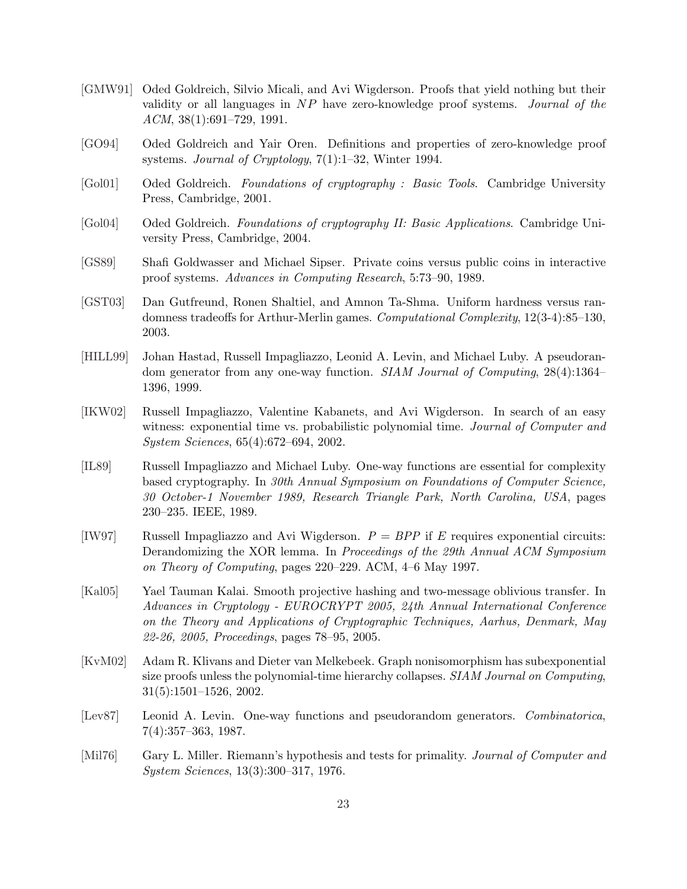- [GMW91] Oded Goldreich, Silvio Micali, and Avi Wigderson. Proofs that yield nothing but their validity or all languages in NP have zero-knowledge proof systems. Journal of the  $ACM$ , 38(1):691–729, 1991.
- [GO94] Oded Goldreich and Yair Oren. Definitions and properties of zero-knowledge proof systems. Journal of Cryptology, 7(1):1–32, Winter 1994.
- [Gol01] Oded Goldreich. Foundations of cryptography : Basic Tools. Cambridge University Press, Cambridge, 2001.
- [Gol04] Oded Goldreich. Foundations of cryptography II: Basic Applications. Cambridge University Press, Cambridge, 2004.
- [GS89] Shafi Goldwasser and Michael Sipser. Private coins versus public coins in interactive proof systems. Advances in Computing Research, 5:73–90, 1989.
- [GST03] Dan Gutfreund, Ronen Shaltiel, and Amnon Ta-Shma. Uniform hardness versus randomness tradeoffs for Arthur-Merlin games. Computational Complexity, 12(3-4):85–130, 2003.
- [HILL99] Johan Hastad, Russell Impagliazzo, Leonid A. Levin, and Michael Luby. A pseudorandom generator from any one-way function. SIAM Journal of Computing, 28(4):1364– 1396, 1999.
- [IKW02] Russell Impagliazzo, Valentine Kabanets, and Avi Wigderson. In search of an easy witness: exponential time vs. probabilistic polynomial time. Journal of Computer and System Sciences, 65(4):672–694, 2002.
- [IL89] Russell Impagliazzo and Michael Luby. One-way functions are essential for complexity based cryptography. In 30th Annual Symposium on Foundations of Computer Science, 30 October-1 November 1989, Research Triangle Park, North Carolina, USA, pages 230–235. IEEE, 1989.
- [IW97] Russell Impagliazzo and Avi Wigderson.  $P = BPP$  if E requires exponential circuits: Derandomizing the XOR lemma. In Proceedings of the 29th Annual ACM Symposium on Theory of Computing, pages 220–229. ACM, 4–6 May 1997.
- [Kal05] Yael Tauman Kalai. Smooth projective hashing and two-message oblivious transfer. In Advances in Cryptology - EUROCRYPT 2005, 24th Annual International Conference on the Theory and Applications of Cryptographic Techniques, Aarhus, Denmark, May 22-26, 2005, Proceedings, pages 78–95, 2005.
- [KvM02] Adam R. Klivans and Dieter van Melkebeek. Graph nonisomorphism has subexponential size proofs unless the polynomial-time hierarchy collapses. SIAM Journal on Computing, 31(5):1501–1526, 2002.
- [Lev87] Leonid A. Levin. One-way functions and pseudorandom generators. Combinatorica, 7(4):357–363, 1987.
- [Mil76] Gary L. Miller. Riemann's hypothesis and tests for primality. Journal of Computer and System Sciences, 13(3):300–317, 1976.